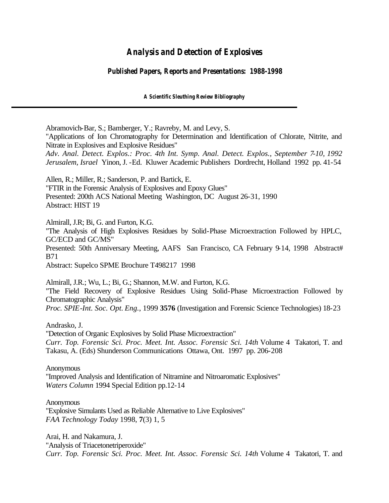# *Analysis and Detection of Explosives*

# *Published Papers, Reports and Presentations: 1988-1998*

*A Scientific Sleuthing Review Bibliography*

Abramovich-Bar, S.; Bamberger, Y.; Ravreby, M. and Levy, S.

"Applications of Ion Chromatography for Determination and Identification of Chlorate, Nitrite, and Nitrate in Explosives and Explosive Residues"

*Adv. Anal. Detect. Explos.: Proc. 4th Int. Symp. Anal. Detect. Explos., September 7-10, 1992 Jerusalem, Israel* Yinon, J. -Ed. Kluwer Academic Publishers Dordrecht, Holland 1992 pp. 41-54

Allen, R.; Miller, R.; Sanderson, P. and Bartick, E. "FTIR in the Forensic Analysis of Explosives and Epoxy Glues" Presented: 200th ACS National Meeting Washington, DC August 26-31, 1990 Abstract: HIST 19

Almirall, J.R; Bi, G. and Furton, K.G.

"The Analysis of High Explosives Residues by Solid-Phase Microextraction Followed by HPLC, GC/ECD and GC/MS" Presented: 50th Anniversary Meeting, AAFS San Francisco, CA February 9-14, 1998 Abstract# B71

Abstract: Supelco SPME Brochure T498217 1998

Almirall, J.R.; Wu, L.; Bi, G.; Shannon, M.W. and Furton, K.G. "The Field Recovery of Explosive Residues Using Solid-Phase Microextraction Followed by Chromatographic Analysis" *Proc. SPIE-Int. Soc. Opt. Eng.*, 1999 **3576** (Investigation and Forensic Science Technologies) 18-23

Andrasko, J.

"Detection of Organic Explosives by Solid Phase Microextraction" *Curr. Top. Forensic Sci. Proc. Meet. Int. Assoc. Forensic Sci. 14th* Volume 4 Takatori, T. and Takasu, A. (Eds) Shunderson Communications Ottawa, Ont. 1997 pp. 206-208

#### **Anonymous**

"Improved Analysis and Identification of Nitramine and Nitroaromatic Explosives" *Waters Column* 1994 Special Edition pp.12-14

#### **Anonymous**

"Explosive Simulants Used as Reliable Alternative to Live Explosives" *FAA Technology Today* 1998, **7**(3) 1, 5

Arai, H. and Nakamura, J. "Analysis of Triacetonetriperoxide" *Curr. Top. Forensic Sci. Proc. Meet. Int. Assoc. Forensic Sci. 14th* Volume 4 Takatori, T. and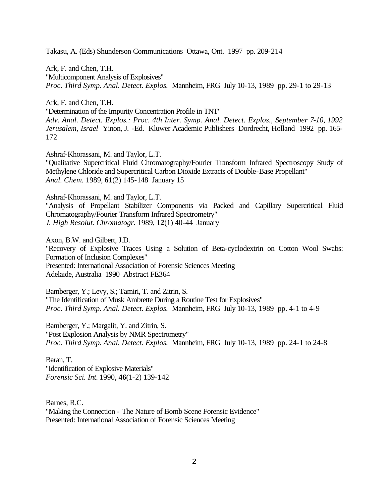Takasu, A. (Eds) Shunderson Communications Ottawa, Ont. 1997 pp. 209-214

Ark, F. and Chen, T.H. "Multicomponent Analysis of Explosives" *Proc. Third Symp. Anal. Detect. Explos.* Mannheim, FRG July 10-13, 1989 pp. 29-1 to 29-13

Ark, F. and Chen, T.H.

"Determination of the Impurity Concentration Profile in TNT"

*Adv. Anal. Detect. Explos.: Proc. 4th Inter. Symp. Anal. Detect. Explos., September 7-10, 1992 Jerusalem, Israel* Yinon, J. -Ed. Kluwer Academic Publishers Dordrecht, Holland 1992 pp. 165- 172

Ashraf-Khorassani, M. and Taylor, L.T. "Qualitative Supercritical Fluid Chromatography/Fourier Transform Infrared Spectroscopy Study of Methylene Chloride and Supercritical Carbon Dioxide Extracts of Double-Base Propellant" *Anal. Chem.* 1989, **61**(2) 145-148 January 15

Ashraf-Khorassani, M. and Taylor, L.T.

"Analysis of Propellant Stabilizer Components via Packed and Capillary Supercritical Fluid Chromatography/Fourier Transform Infrared Spectrometry" *J. High Resolut. Chromatogr.* 1989, **12**(1) 40-44 January

Axon, B.W. and Gilbert, J.D. "Recovery of Explosive Traces Using a Solution of Beta-cyclodextrin on Cotton Wool Swabs: Formation of Inclusion Complexes" Presented: International Association of Forensic Sciences Meeting Adelaide, Australia 1990 Abstract FE364

Bamberger, Y.; Levy, S.; Tamiri, T. and Zitrin, S. "The Identification of Musk Ambrette During a Routine Test for Explosives" *Proc. Third Symp. Anal. Detect. Explos.* Mannheim, FRG July 10-13, 1989 pp. 4-1 to 4-9

Bamberger, Y.; Margalit, Y. and Zitrin, S. "Post Explosion Analysis by NMR Spectrometry" *Proc. Third Symp. Anal. Detect. Explos.* Mannheim, FRG July 10-13, 1989 pp. 24-1 to 24-8

Baran, T. "Identification of Explosive Materials" *Forensic Sci. Int.* 1990, **46**(1-2) 139-142

Barnes, R.C. "Making the Connection - The Nature of Bomb Scene Forensic Evidence" Presented: International Association of Forensic Sciences Meeting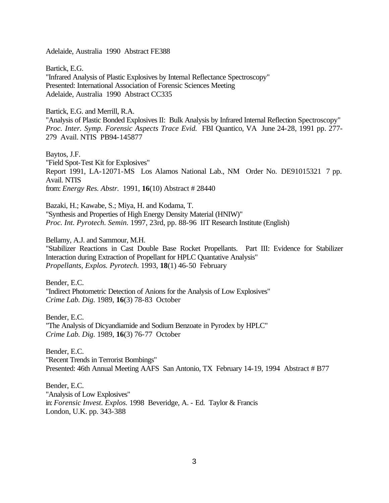Adelaide, Australia 1990 Abstract FE388

Bartick, E.G. "Infrared Analysis of Plastic Explosives by Internal Reflectance Spectroscopy" Presented: International Association of Forensic Sciences Meeting Adelaide, Australia 1990 Abstract CC335

Bartick, E.G. and Merrill, R.A.

"Analysis of Plastic Bonded Explosives II: Bulk Analysis by Infrared Internal Reflection Spectroscopy" *Proc. Inter. Symp. Forensic Aspects Trace Evid.* FBI Quantico, VA June 24-28, 1991 pp. 277- 279 Avail. NTIS PB94-145877

Baytos, J.F. "Field Spot-Test Kit for Explosives" Report 1991, LA-12071-MS Los Alamos National Lab., NM Order No. DE91015321 7 pp. Avail. NTIS from: *Energy Res. Abstr.* 1991, **16**(10) Abstract # 28440

Bazaki, H.; Kawabe, S.; Miya, H. and Kodama, T. "Synthesis and Properties of High Energy Density Material (HNIW)" *Proc. Int. Pyrotech. Semin.* 1997, 23rd, pp. 88-96 IIT Research Institute (English)

Bellamy, A.J. and Sammour, M.H.

"Stabilizer Reactions in Cast Double Base Rocket Propellants. Part III: Evidence for Stabilizer Interaction during Extraction of Propellant for HPLC Quantative Analysis" *Propellants, Explos. Pyrotech.* 1993, **18**(1) 46-50 February

Bender, E.C. "Indirect Photometric Detection of Anions for the Analysis of Low Explosives" *Crime Lab. Dig.* 1989, **16**(3) 78-83 October

Bender, E.C. "The Analysis of Dicyandiamide and Sodium Benzoate in Pyrodex by HPLC" *Crime Lab. Dig.* 1989, **16**(3) 76-77 October

Bender, E.C. "Recent Trends in Terrorist Bombings" Presented: 46th Annual Meeting AAFS San Antonio, TX February 14-19, 1994 Abstract # B77

Bender, E.C. "Analysis of Low Explosives" in: *Forensic Invest. Explos.* 1998 Beveridge, A. - Ed. Taylor & Francis London, U.K. pp. 343-388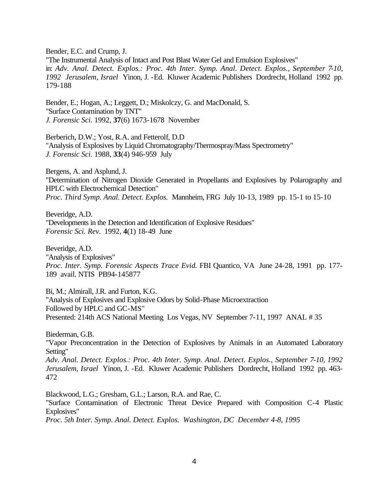Bender, E.C. and Crump, J.

"The Instrumental Analysis of Intact and Post Blast Water Gel and Emulsion Explosives" in: *Adv. Anal. Detect. Explos.: Proc. 4th Inter. Symp. Anal. Detect. Explos., September 7-10, 1992 Jerusalem, Israel* Yinon, J. -Ed. Kluwer Academic Publishers Dordrecht, Holland 1992 pp. 179-188

Bender, E.; Hogan, A.; Leggett, D.; Miskolczy, G. and MacDonald, S. "Surface Contamination by TNT" *J. Forensic Sci.* 1992, **37**(6) 1673-1678 November

Berberich, D.W.; Yost, R.A. and Fetterolf, D.D "Analysis of Explosives by Liquid Chromatography/Thermospray/Mass Spectrometry" *J. Forensic Sci.* 1988, **33**(4) 946-959 July

Bergens, A. and Asplund, J. "Determination of Nitrogen Dioxide Generated in Propellants and Explosives by Polarography and HPLC with Electrochemical Detection" *Proc. Third Symp. Anal. Detect. Explos.* Mannheim, FRG July 10-13, 1989 pp. 15-1 to 15-10

Beveridge, A.D. "Developments in the Detection and Identification of Explosive Residues" *Forensic Sci. Rev.* 1992, **4**(1) 18-49 June

Beveridge, A.D. "Analysis of Explosives" *Proc. Inter. Symp. Forensic Aspects Trace Evid.* FBI Quantico, VA June 24-28, 1991 pp. 177- 189 avail. NTIS PB94-145877

Bi, M.; Almirall, J.R. and Furton, K.G. "Analysis of Explosives and Explosive Odors by Solid-Phase Microextraction Followed by HPLC and GC-MS" Presented: 214th ACS National Meeting Los Vegas, NV September 7-11, 1997 ANAL # 35

Biederman, G.B.

"Vapor Preconcentration in the Detection of Explosives by Animals in an Automated Laboratory Setting"

*Adv. Anal. Detect. Explos.: Proc. 4th Inter. Symp. Anal. Detect. Explos., September 7-10, 1992 Jerusalem, Israel* Yinon, J. -Ed. Kluwer Academic Publishers Dordrecht, Holland 1992 pp. 463- 472

Blackwood, L.G.; Gresham, G.L.; Larson, R.A. and Rae, C. "Surface Contamination of Electronic Threat Device Prepared with Composition C-4 Plastic Explosives"

*Proc. 5th Inter. Symp. Anal. Detect. Explos. Washington, DC December 4-8, 1995*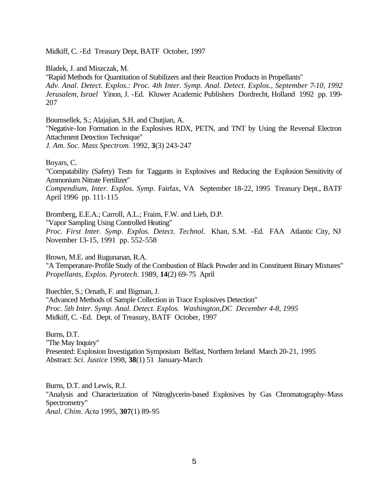Midkiff, C. -Ed Treasury Dept, BATF October, 1997

Bladek, J. and Miszczak, M.

"Rapid Methods for Quantitation of Stabilizers and their Reaction Products in Propellants" *Adv. Anal. Detect. Explos.: Proc. 4th Inter. Symp. Anal. Detect. Explos., September 7-10, 1992 Jerusalem, Israel* Yinon, J. -Ed. Kluwer Academic Publishers Dordrecht, Holland 1992 pp. 199- 207

Boumsellek, S.; Alajajian, S.H. and Chutjian, A.

"Negative-Ion Formation in the Explosives RDX, PETN, and TNT by Using the Reversal Electron Attachment Detection Technique"

*J. Am. Soc. Mass Spectrom.* 1992, **3**(3) 243-247

Boyars, C.

"Compatability (Safety) Tests for Taggants in Explosives and Reducing the Explosion Sensitivity of Ammonium Nitrate Fertilizer" *Compendium, Inter. Explos. Symp.* Fairfax, VA September 18-22, 1995 Treasury Dept., BATF April 1996 pp. 111-115

Bromberg, E.E.A.; Carroll, A.L.; Fraim, F.W. and Lieb, D.P. "Vapor Sampling Using Controlled Heating" *Proc. First Inter. Symp. Explos. Detect. Technol.* Khan, S.M. -Ed. FAA Atlantic City, NJ November 13-15, 1991 pp. 552-558

Brown, M.E. and Rugunanan, R.A. "A Temperature-Profile Study of the Combustion of Black Powder and its Constituent Binary Mixtures" *Propellants, Explos. Pyrotech.* 1989, **14**(2) 69-75 April

Buechler, S.; Ornath, F. and Bigman, J. "Advanced Methods of Sample Collection in Trace Explosives Detection" *Proc. 5th Inter. Symp. Anal. Detect. Explos. Washington,DC December 4-8, 1995* Midkiff, C. -Ed. Dept. of Treasury, BATF October, 1997

Burns, D.T. "The May Inquiry" Presented: Explosion Investigation Symposium Belfast, Northern Ireland March 20-21, 1995 Abstract: *Sci. Justice* 1998, **38**(1) 51 January-March

Burns, D.T. and Lewis, R.J. "Analysis and Characterization of Nitroglycerin-based Explosives by Gas Chromatography-Mass Spectrometry" *Anal. Chim. Acta* 1995, **307**(1) 89-95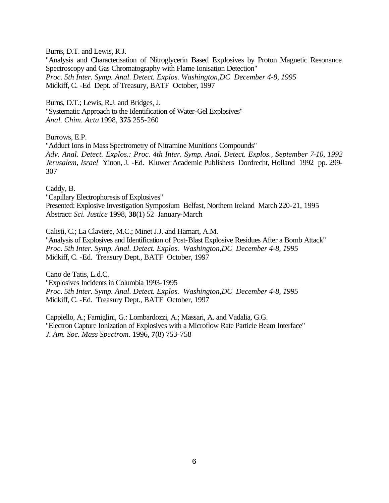Burns, D.T. and Lewis, R.J.

"Analysis and Characterisation of Nitroglycerin Based Explosives by Proton Magnetic Resonance Spectroscopy and Gas Chromatography with Flame Ionisation Detection" *Proc. 5th Inter. Symp. Anal. Detect. Explos. Washington,DC December 4-8, 1995* Midkiff, C. -Ed Dept. of Treasury, BATF October, 1997

Burns, D.T.; Lewis, R.J. and Bridges, J. "Systematic Approach to the Identification of Water-Gel Explosives" *Anal. Chim. Acta* 1998, **375** 255-260

Burrows, E.P.

"Adduct Ions in Mass Spectrometry of Nitramine Munitions Compounds" *Adv. Anal. Detect. Explos.: Proc. 4th Inter. Symp. Anal. Detect. Explos., September 7-10, 1992 Jerusalem, Israel* Yinon, J. -Ed. Kluwer Academic Publishers Dordrecht, Holland 1992 pp. 299- 307

Caddy, B.

"Capillary Electrophoresis of Explosives" Presented: Explosive Investigation Symposium Belfast, Northern Ireland March 220-21, 1995 Abstract: *Sci. Justice* 1998, **38**(1) 52 January-March

Calisti, C.; La Claviere, M.C.; Minet J.J. and Hamart, A.M. "Analysis of Explosives and Identification of Post-Blast Explosive Residues After a Bomb Attack" *Proc. 5th Inter. Symp. Anal. Detect. Explos. Washington,DC December 4-8, 1995* Midkiff, C. -Ed. Treasury Dept., BATF October, 1997

Cano de Tatis, L.d.C. "Explosives Incidents in Columbia 1993-1995 *Proc. 5th Inter. Symp. Anal. Detect. Explos. Washington,DC December 4-8, 1995* Midkiff, C. -Ed. Treasury Dept., BATF October, 1997

Cappiello, A.; Famiglini, G.: Lombardozzi, A.; Massari, A. and Vadalia, G.G. "Electron Capture Ionization of Explosives with a Microflow Rate Particle Beam Interface" *J. Am. Soc. Mass Spectrom.* 1996, **7**(8) 753-758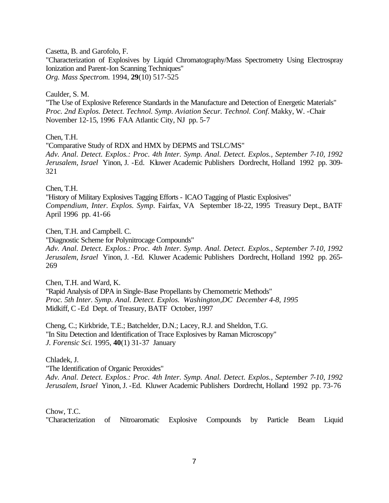Casetta, B. and Garofolo, F.

"Characterization of Explosives by Liquid Chromatography/Mass Spectrometry Using Electrospray Ionization and Parent-Ion Scanning Techniques" *Org. Mass Spectrom.* 1994, **29**(10) 517-525

Caulder, S. M.

"The Use of Explosive Reference Standards in the Manufacture and Detection of Energetic Materials" *Proc. 2nd Explos. Detect. Technol. Symp. Aviation Secur. Technol. Conf.* Makky, W. -Chair November 12-15, 1996 FAA Atlantic City, NJ pp. 5-7

Chen, T.H.

"Comparative Study of RDX and HMX by DEPMS and TSLC/MS" *Adv. Anal. Detect. Explos.: Proc. 4th Inter. Symp. Anal. Detect. Explos., September 7-10, 1992 Jerusalem, Israel* Yinon, J. -Ed. Kluwer Academic Publishers Dordrecht, Holland 1992 pp. 309- 321

Chen, T.H.

"History of Military Explosives Tagging Efforts - ICAO Tagging of Plastic Explosives" *Compendium, Inter. Explos. Symp.* Fairfax, VA September 18-22, 1995 Treasury Dept., BATF April 1996 pp. 41-66

Chen, T.H. and Campbell. C.

"Diagnostic Scheme for Polynitrocage Compounds"

*Adv. Anal. Detect. Explos.: Proc. 4th Inter. Symp. Anal. Detect. Explos., September 7-10, 1992 Jerusalem, Israel* Yinon, J. -Ed. Kluwer Academic Publishers Dordrecht, Holland 1992 pp. 265- 269

Chen, T.H. and Ward, K. "Rapid Analysis of DPA in Single-Base Propellants by Chemometric Methods" *Proc. 5th Inter. Symp. Anal. Detect. Explos. Washington,DC December 4-8, 1995*  Midkiff, C -Ed Dept. of Treasury, BATF October, 1997

Cheng, C.; Kirkbride, T.E.; Batchelder, D.N.; Lacey, R.J. and Sheldon, T.G. "In Situ Detection and Identification of Trace Explosives by Raman Microscopy" *J. Forensic Sci.* 1995, **40**(1) 31-37 January

Chladek, J.

"The Identification of Organic Peroxides"

*Adv. Anal. Detect. Explos.: Proc. 4th Inter. Symp. Anal. Detect. Explos., September 7-10, 1992 Jerusalem, Israel* Yinon, J. -Ed. Kluwer Academic Publishers Dordrecht, Holland 1992 pp. 73-76

Chow, T.C.

"Characterization of Nitroaromatic Explosive Compounds by Particle Beam Liquid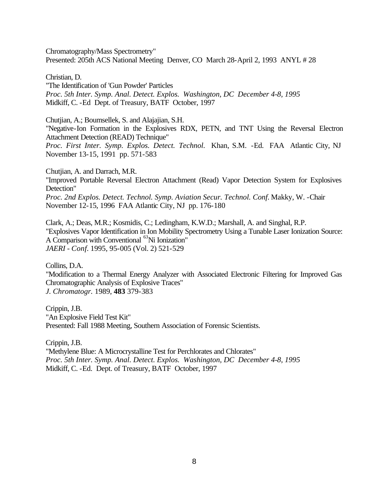Chromatography/Mass Spectrometry" Presented: 205th ACS National Meeting Denver, CO March 28-April 2, 1993 ANYL # 28

Christian, D.

"The Identification of 'Gun Powder' Particles *Proc. 5th Inter. Symp. Anal. Detect. Explos. Washington, DC December 4-8, 1995*  Midkiff, C. -Ed Dept. of Treasury, BATF October, 1997

Chutjian, A.; Boumsellek, S. and Alajajian, S.H.

"Negative-Ion Formation in the Explosives RDX, PETN, and TNT Using the Reversal Electron Attachment Detection (READ) Technique"

*Proc. First Inter. Symp. Explos. Detect. Technol.* Khan, S.M. -Ed. FAA Atlantic City, NJ November 13-15, 1991 pp. 571-583

Chutjian, A. and Darrach, M.R. "Improved Portable Reversal Electron Attachment (Read) Vapor Detection System for Explosives Detection" *Proc. 2nd Explos. Detect. Technol. Symp. Aviation Secur. Technol. Conf.* Makky, W. -Chair November 12-15, 1996 FAA Atlantic City, NJ pp. 176-180

Clark, A.; Deas, M.R.; Kosmidis, C.; Ledingham, K.W.D.; Marshall, A. and Singhal, R.P. "Explosives Vapor Identification in Ion Mobility Spectrometry Using a Tunable Laser Ionization Source: A Comparison with Conventional <sup>63</sup>Ni Ionization" *JAERI - Conf.* 1995, 95-005 (Vol. 2) 521-529

Collins, D.A. "Modification to a Thermal Energy Analyzer with Associated Electronic Filtering for Improved Gas Chromatographic Analysis of Explosive Traces"

*J. Chromatogr.* 1989, **483** 379-383

Crippin, J.B. "An Explosive Field Test Kit" Presented: Fall 1988 Meeting, Southern Association of Forensic Scientists.

Crippin, J.B. "Methylene Blue: A Microcrystalline Test for Perchlorates and Chlorates" *Proc. 5th Inter. Symp. Anal. Detect. Explos. Washington, DC December 4-8, 1995*  Midkiff, C. -Ed. Dept. of Treasury, BATF October, 1997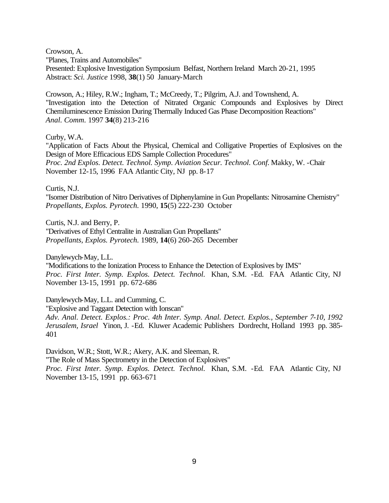Crowson, A.

"Planes, Trains and Automobiles"

Presented: Explosive Investigation Symposium Belfast, Northern Ireland March 20-21, 1995 Abstract: *Sci. Justice* 1998, **38**(1) 50 January-March

Crowson, A.; Hiley, R.W.; Ingham, T.; McCreedy, T.; Pilgrim, A.J. and Townshend, A. "Investigation into the Detection of Nitrated Organic Compounds and Explosives by Direct Chemiluminescence Emission During Thermally Induced Gas Phase Decomposition Reactions" *Anal. Comm.* 1997 **34**(8) 213-216

Curby, W.A.

"Application of Facts About the Physical, Chemical and Colligative Properties of Explosives on the Design of More Efficacious EDS Sample Collection Procedures" *Proc. 2nd Explos. Detect. Technol. Symp. Aviation Secur. Technol. Conf.* Makky, W. -Chair November 12-15, 1996 FAA Atlantic City, NJ pp. 8-17

Curtis, N.J.

"Isomer Distribution of Nitro Derivatives of Diphenylamine in Gun Propellants: Nitrosamine Chemistry" *Propellants, Explos. Pyrotech.* 1990, **15**(5) 222-230 October

Curtis, N.J. and Berry, P. "Derivatives of Ethyl Centralite in Australian Gun Propellants" *Propellants, Explos. Pyrotech.* 1989, **14**(6) 260-265 December

Danylewych-May, L.L.

"Modifications to the Ionization Process to Enhance the Detection of Explosives by IMS" *Proc. First Inter. Symp. Explos. Detect. Technol.* Khan, S.M. -Ed. FAA Atlantic City, NJ November 13-15, 1991 pp. 672-686

Danylewych-May, L.L. and Cumming, C.

"Explosive and Taggant Detection with Ionscan" *Adv. Anal. Detect. Explos.: Proc. 4th Inter. Symp. Anal. Detect. Explos., September 7-10, 1992 Jerusalem, Israel* Yinon, J. -Ed. Kluwer Academic Publishers Dordrecht, Holland 1993 pp. 385- 401

Davidson, W.R.; Stott, W.R.; Akery, A.K. and Sleeman, R. "The Role of Mass Spectrometry in the Detection of Explosives" *Proc. First Inter. Symp. Explos. Detect. Technol.* Khan, S.M. -Ed. FAA Atlantic City, NJ November 13-15, 1991 pp. 663-671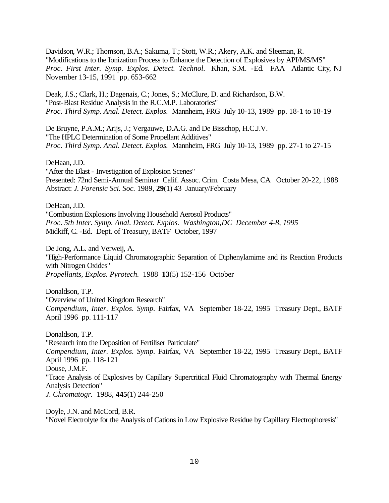Davidson, W.R.; Thomson, B.A.; Sakuma, T.; Stott, W.R.; Akery, A.K. and Sleeman, R. "Modifications to the Ionization Process to Enhance the Detection of Explosives by API/MS/MS" *Proc. First Inter. Symp. Explos. Detect. Technol.* Khan, S.M. -Ed. FAA Atlantic City, NJ November 13-15, 1991 pp. 653-662

Deak, J.S.; Clark, H.; Dagenais, C.; Jones, S.; McClure, D. and Richardson, B.W. "Post-Blast Residue Analysis in the R.C.M.P. Laboratories" *Proc. Third Symp. Anal. Detect. Explos.* Mannheim, FRG July 10-13, 1989 pp. 18-1 to 18-19

De Bruyne, P.A.M.; Arijs, J.; Vergauwe, D.A.G. and De Bisschop, H.C.J.V. "The HPLC Determination of Some Propellant Additives" *Proc. Third Symp. Anal. Detect. Explos.* Mannheim, FRG July 10-13, 1989 pp. 27-1 to 27-15

DeHaan, J.D.

"After the Blast - Investigation of Explosion Scenes" Presented: 72nd Semi-Annual Seminar Calif. Assoc. Crim. Costa Mesa, CA October 20-22, 1988 Abstract: *J. Forensic Sci. Soc.* 1989, **29**(1) 43 January/February

DeHaan, J.D. "Combustion Explosions Involving Household Aerosol Products" *Proc. 5th Inter. Symp. Anal. Detect. Explos. Washington,DC December 4-8, 1995*  Midkiff, C. -Ed. Dept. of Treasury, BATF October, 1997

De Jong, A.L. and Verweij, A. "High-Performance Liquid Chromatographic Separation of Diphenylamime and its Reaction Products with Nitrogen Oxides" *Propellants, Explos. Pyrotech.* 1988 **13**(5) 152-156 October

Donaldson, T.P. "Overview of United Kingdom Research" *Compendium, Inter. Explos. Symp.* Fairfax, VA September 18-22, 1995 Treasury Dept., BATF April 1996 pp. 111-117

Donaldson, T.P. "Research into the Deposition of Fertiliser Particulate" *Compendium, Inter. Explos. Symp.* Fairfax, VA September 18-22, 1995 Treasury Dept., BATF April 1996 pp. 118-121 Douse, J.M.F. "Trace Analysis of Explosives by Capillary Supercritical Fluid Chromatography with Thermal Energy Analysis Detection" *J. Chromatogr.* 1988, **445**(1) 244-250

Doyle, J.N. and McCord, B.R. "Novel Electrolyte for the Analysis of Cations in Low Explosive Residue by Capillary Electrophoresis"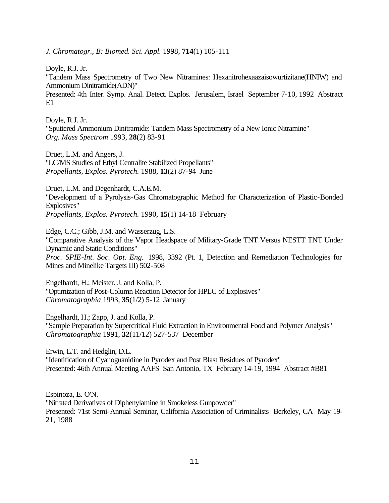*J. Chromatogr., B: Biomed. Sci. Appl.* 1998, **714**(1) 105-111

Doyle, R.J. Jr.

"Tandem Mass Spectrometry of Two New Nitramines: Hexanitrohexaazaisowurtizitane(HNIW) and Ammonium Dinitramide(ADN)"

Presented: 4th Inter. Symp. Anal. Detect. Explos. Jerusalem, Israel September 7-10, 1992 Abstract E1

Doyle, R.J. Jr. "Sputtered Ammonium Dinitramide: Tandem Mass Spectrometry of a New Ionic Nitramine" *Org. Mass Spectrom* 1993, **28**(2) 83-91

Druet, L.M. and Angers, J. "LC/MS Studies of Ethyl Centralite Stabilized Propellants" *Propellants, Explos. Pyrotech.* 1988, **13**(2) 87-94 June

Druet, L.M. and Degenhardt, C.A.E.M. "Development of a Pyrolysis-Gas Chromatographic Method for Characterization of Plastic-Bonded Explosives" *Propellants, Explos. Pyrotech.* 1990, **15**(1) 14-18 February

Edge, C.C.; Gibb, J.M. and Wasserzug, L.S. "Comparative Analysis of the Vapor Headspace of Military-Grade TNT Versus NESTT TNT Under Dynamic and Static Conditions" *Proc. SPIE-Int. Soc. Opt. Eng.* 1998, 3392 (Pt. 1, Detection and Remediation Technologies for Mines and Minelike Targets III) 502-508

Engelhardt, H.; Meister. J. and Kolla, P. "Optimization of Post-Column Reaction Detector for HPLC of Explosives" *Chromatographia* 1993, **35**(1/2) 5-12 January

Engelhardt, H.; Zapp, J. and Kolla, P.

"Sample Preparation by Supercritical Fluid Extraction in Environmental Food and Polymer Analysis" *Chromatographia* 1991, **32**(11/12) 527-537 December

Erwin, L.T. and Hedglin, D.L.

"Identification of Cyanoguanidine in Pyrodex and Post Blast Residues of Pyrodex" Presented: 46th Annual Meeting AAFS San Antonio, TX February 14-19, 1994 Abstract #B81

Espinoza, E. O'N. "Nitrated Derivatives of Diphenylamine in Smokeless Gunpowder" Presented: 71st Semi-Annual Seminar, California Association of Criminalists Berkeley, CA May 19- 21, 1988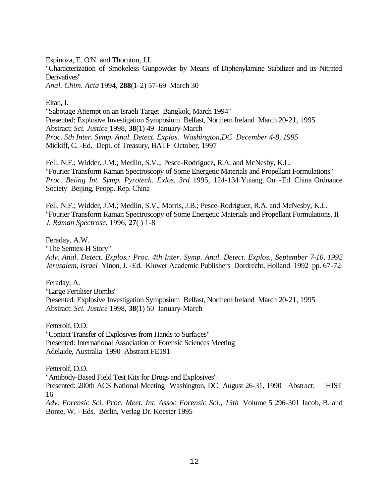Espinoza, E. O'N. and Thornton, J.I.

"Characterization of Smokeless Gunpowder by Means of Diphenylamine Stabilizer and its Nitrated Derivatives"

*Anal. Chim. Acta* 1994, **288**(1-2) 57-69 March 30

Eitan, I.

"Sabotage Attempt on an Israeli Target Bangkok, March 1994" Presented: Explosive Investigation Symposium Belfast, Northern Ireland March 20-21, 1995 Abstract: *Sci. Justice* 1998, **38**(1) 49 January-March *Proc. 5th Inter. Symp. Anal. Detect. Explos. Washington,DC December 4-8, 1995*  Midkiff, C. -Ed. Dept. of Treasury, BATF October, 1997

Fell, N.F.; Widder, J.M.; Medlin, S.V.,; Pesce-Rodriguez, R.A. and McNesby, K.L. "Fourier Transform Raman Spectroscopy of Some Energetic Materials and Propellant Formulations" *Proc. Beiing Int. Symp. Pyrotech. Exlos. 3rd* 1995, 124-134 Yuiang, Ou -Ed. China Ordnance Society Beijing, Peopp. Rep. China

Fell, N.F.; Widder, J.M.; Medlin, S.V., Morris, J.B.; Pesce-Rodriguez, R.A. and McNesby, K.L. "Fourier Transform Raman Spectroscopy of Some Energetic Materials and Propellant Formulations. II *J. Raman Spectrosc.* 1996, **27**( ) 1-8

Feraday, A.W.

"The Semtex-H Story" *Adv. Anal. Detect. Explos.: Proc. 4th Inter. Symp. Anal. Detect. Explos., September 7-10, 1992 Jerusalem, Israel* Yinon, J. -Ed. Kluwer Academic Publishers Dordrecht, Holland 1992 pp. 67-72

Feraday, A. "Large Fertiliser Bombs" Presented: Explosive Investigation Symposium Belfast, Northern Ireland March 20-21, 1995 Abstract: *Sci. Justice* 1998, **38**(1) 50 January-March

Fetterolf, D.D. "Contact Transfer of Explosives from Hands to Surfaces" Presented: International Association of Forensic Sciences Meeting Adelaide, Australia 1990 Abstract FE191

Bonte, W. - Eds. Berlin, Verlag Dr. Koester 1995

Fetterolf, D.D. "Antibody-Based Field Test Kits for Drugs and Explosives" Presented: 200th ACS National Meeting Washington, DC August 26-31, 1990 Abstract: HIST 16 *Adv. Forensic Sci. Proc. Meet. Int. Assoc Forensic Sci., 13th* Volume 5 296-301 Jacob, B. and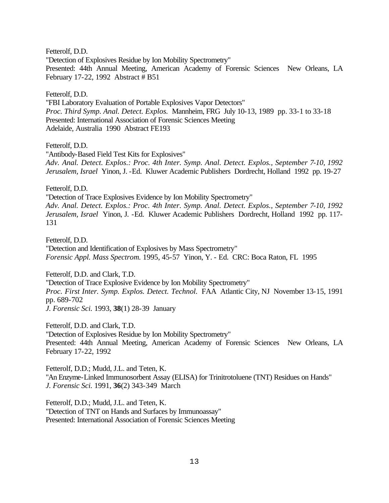Fetterolf, D.D.

"Detection of Explosives Residue by Ion Mobility Spectrometry"

Presented: 44th Annual Meeting, American Academy of Forensic Sciences New Orleans, LA February 17-22, 1992 Abstract # B51

### Fetterolf, D.D.

"FBI Laboratory Evaluation of Portable Explosives Vapor Detectors" *Proc. Third Symp. Anal. Detect. Explos.* Mannheim, FRG July 10-13, 1989 pp. 33-1 to 33-18 Presented: International Association of Forensic Sciences Meeting Adelaide, Australia 1990 Abstract FE193

### Fetterolf, D.D.

"Antibody-Based Field Test Kits for Explosives" *Adv. Anal. Detect. Explos.: Proc. 4th Inter. Symp. Anal. Detect. Explos., September 7-10, 1992 Jerusalem, Israel* Yinon, J. -Ed. Kluwer Academic Publishers Dordrecht, Holland 1992 pp. 19-27

Fetterolf, D.D.

"Detection of Trace Explosives Evidence by Ion Mobility Spectrometry" *Adv. Anal. Detect. Explos.: Proc. 4th Inter. Symp. Anal. Detect. Explos., September 7-10, 1992 Jerusalem, Israel* Yinon, J. -Ed. Kluwer Academic Publishers Dordrecht, Holland 1992 pp. 117- 131

Fetterolf, D.D. "Detection and Identification of Explosives by Mass Spectrometry" *Forensic Appl. Mass Spectrom.* 1995, 45-57 Yinon, Y. - Ed. CRC: Boca Raton, FL 1995

Fetterolf, D.D. and Clark, T.D. "Detection of Trace Explosive Evidence by Ion Mobility Spectrometry" *Proc. First Inter. Symp. Explos. Detect. Technol.* FAA Atlantic City, NJ November 13-15, 1991 pp. 689-702 *J. Forensic Sci.* 1993, **38**(1) 28-39 January

Fetterolf, D.D. and Clark, T.D. "Detection of Explosives Residue by Ion Mobility Spectrometry" Presented: 44th Annual Meeting, American Academy of Forensic Sciences New Orleans, LA February 17-22, 1992

Fetterolf, D.D.; Mudd, J.L. and Teten, K. "An Enzyme-Linked Immunosorbent Assay (ELISA) for Trinitrotoluene (TNT) Residues on Hands" *J. Forensic Sci.* 1991, **36**(2) 343-349 March

Fetterolf, D.D.; Mudd, J.L. and Teten, K. "Detection of TNT on Hands and Surfaces by Immunoassay" Presented: International Association of Forensic Sciences Meeting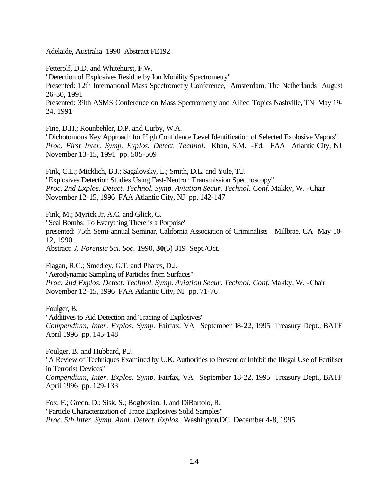Adelaide, Australia 1990 Abstract FE192

Fetterolf, D.D. and Whitehurst, F.W.

"Detection of Explosives Residue by Ion Mobility Spectrometry"

Presented: 12th International Mass Spectrometry Conference, Amsterdam, The Netherlands August 26-30, 1991

Presented: 39th ASMS Conference on Mass Spectrometry and Allied Topics Nashville, TN May 19- 24, 1991

Fine, D.H.; Rounbehler, D.P. and Curby, W.A.

"Dichotomous Key Approach for High Confidence Level Identification of Selected Explosive Vapors" *Proc. First Inter. Symp. Explos. Detect. Technol.* Khan, S.M. -Ed. FAA Atlantic City, NJ November 13-15, 1991 pp. 505-509

Fink, C.L.; Micklich, B.J.; Sagalovsky, L.; Smith, D.L. and Yule, T.J. "Explosives Detection Studies Using Fast-Neutron Transmission Spectroscopy" *Proc. 2nd Explos. Detect. Technol. Symp. Aviation Secur. Technol. Conf.* Makky, W. -Chair November 12-15, 1996 FAA Atlantic City, NJ pp. 142-147

Fink, M.; Myrick Jr, A.C. and Glick, C. "Seal Bombs: To Everything There is a Porpoise" presented: 75th Semi-annual Seminar, California Association of Criminalists Millbrae, CA May 10- 12, 1990 Abstract: *J. Forensic Sci. Soc.* 1990, **30**(5) 319 Sept./Oct.

Flagan, R.C.; Smedley, G.T. and Phares, D.J. "Aerodynamic Sampling of Particles from Surfaces" *Proc. 2nd Explos. Detect. Technol. Symp. Aviation Secur. Technol. Conf.* Makky, W. -Chair November 12-15, 1996 FAA Atlantic City, NJ pp. 71-76

Foulger, B. "Additives to Aid Detection and Tracing of Explosives" *Compendium, Inter. Explos. Symp.* Fairfax, VA September 18-22, 1995 Treasury Dept., BATF April 1996 pp. 145-148

Foulger, B. and Hubbard, P.J. "A Review of Techniques Examined by U.K. Authorities to Prevent or Inhibit the Illegal Use of Fertiliser in Terrorist Devices" *Compendium, Inter. Explos. Symp.* Fairfax, VA September 18-22, 1995 Treasury Dept., BATF April 1996 pp. 129-133

Fox, F.; Green, D.; Sisk, S.; Boghosian, J. and DiBartolo, R. "Particle Characterization of Trace Explosives Solid Samples" *Proc. 5th Inter. Symp. Anal. Detect. Explos.* Washington,DC December 4-8, 1995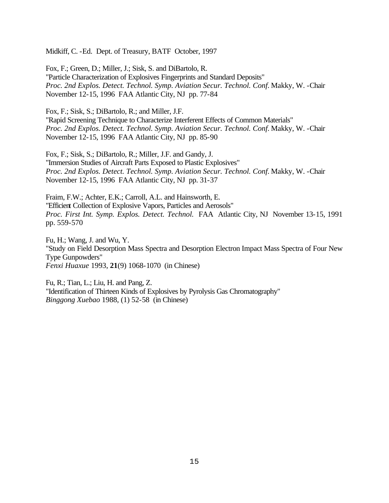Midkiff, C. -Ed. Dept. of Treasury, BATF October, 1997

Fox, F.; Green, D.; Miller, J.; Sisk, S. and DiBartolo, R. "Particle Characterization of Explosives Fingerprints and Standard Deposits" *Proc. 2nd Explos. Detect. Technol. Symp. Aviation Secur. Technol. Conf.* Makky, W. -Chair November 12-15, 1996 FAA Atlantic City, NJ pp. 77-84

Fox, F.; Sisk, S.; DiBartolo, R.; and Miller, J.F.

"Rapid Screening Technique to Characterize Interferent Effects of Common Materials" *Proc. 2nd Explos. Detect. Technol. Symp. Aviation Secur. Technol. Conf.* Makky, W. -Chair November 12-15, 1996 FAA Atlantic City, NJ pp. 85-90

Fox, F.; Sisk, S.; DiBartolo, R.; Miller, J.F. and Gandy, J. "Immersion Studies of Aircraft Parts Exposed to Plastic Explosives" *Proc. 2nd Explos. Detect. Technol. Symp. Aviation Secur. Technol. Conf.* Makky, W. -Chair November 12-15, 1996 FAA Atlantic City, NJ pp. 31-37

Fraim, F.W.; Achter, E.K.; Carroll, A.L. and Hainsworth, E. "Efficient Collection of Explosive Vapors, Particles and Aerosols" *Proc. First Int. Symp. Explos. Detect. Technol.* FAA Atlantic City, NJ November 13-15, 1991 pp. 559-570

Fu, H.; Wang, J. and Wu, Y. "Study on Field Desorption Mass Spectra and Desorption Electron Impact Mass Spectra of Four New Type Gunpowders" *Fenxi Huaxue* 1993, **21**(9) 1068-1070 (in Chinese)

Fu, R.; Tian, L.; Liu, H. and Pang, Z. "Identification of Thirteen Kinds of Explosives by Pyrolysis Gas Chromatography" *Binggong Xuebao* 1988, (1) 52-58 (in Chinese)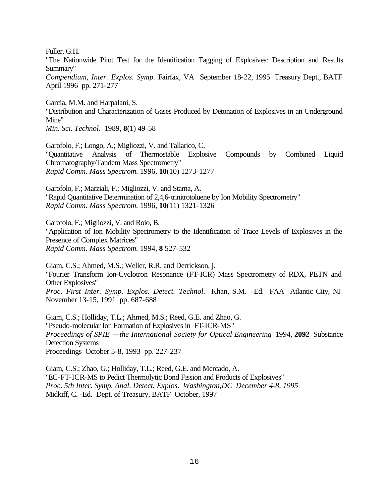Fuller, G.H.

"The Nationwide Pilot Test for the Identification Tagging of Explosives: Description and Results Summary"

*Compendium, Inter. Explos. Symp.* Fairfax, VA September 18-22, 1995 Treasury Dept., BATF April 1996 pp. 271-277

Garcia, M.M. and Harpalani, S. "Distribution and Characterization of Gases Produced by Detonation of Explosives in an Underground Mine"

*Min. Sci. Technol.* 1989, **8**(1) 49-58

Garofolo, F.; Longo, A.; Migliozzi, V. and Tallarico, C. "Quantitative Analysis of Thermostable Explosive Compounds by Combined Liquid Chromatography/Tandem Mass Spectrometry" *Rapid Comm. Mass Spectrom.* 1996, **10**(10) 1273-1277

Garofolo, F.; Marziali, F.; Migliozzi, V. and Stama, A. "Rapid Quantitative Determination of 2,4,6-trinitrotoluene by Ion Mobility Spectrometry" *Rapid Comm. Mass Spectrom.* 1996, **10**(11) 1321-1326

Garofolo, F.; Migliozzi, V. and Roio, B.

"Application of Ion Mobility Spectrometry to the Identification of Trace Levels of Explosives in the Presence of Complex Matrices" *Rapid Comm. Mass Spectrom.* 1994, **8** 527-532

Giam, C.S.; Ahmed, M.S.; Weller, R.R. and Derrickson, j. "Fourier Transform Ion-Cyclotron Resonance (FT-ICR) Mass Spectrometry of RDX, PETN and Other Explosives" *Proc. First Inter. Symp. Explos. Detect. Technol.* Khan, S.M. -Ed. FAA Atlantic City, NJ November 13-15, 1991 pp. 687-688

Giam, C.S.; Holliday, T.L.; Ahmed, M.S.; Reed, G.E. and Zhao, G. "Pseudo-molecular Ion Formation of Explosives in FT-ICR-MS" *Proceedings of SPIE ---the International Society for Optical Engineering* 1994, **2092** Substance Detection Systems Proceedings October 5-8, 1993 pp. 227-237

Giam, C.S.; Zhao, G.; Holliday, T.L.; Reed, G.E. and Mercado, A. "EC-FT-ICR-MS to Pedict Thermolytic Bond Fission and Products of Explosives" *Proc. 5th Inter. Symp. Anal. Detect. Explos. Washington,DC December 4-8, 1995*  Midkiff, C. -Ed. Dept. of Treasury, BATF October, 1997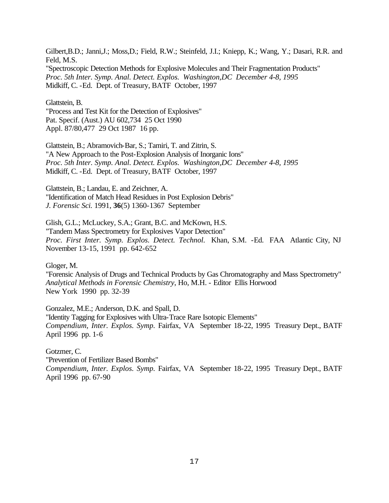Gilbert,B.D.; Janni,J.; Moss,D.; Field, R.W.; Steinfeld, J.I.; Kniepp, K.; Wang, Y.; Dasari, R.R. and Feld, M.S. "Spectroscopic Detection Methods for Explosive Molecules and Their Fragmentation Products" *Proc. 5th Inter. Symp. Anal. Detect. Explos. Washington,DC December 4-8, 1995*  Midkiff, C. -Ed. Dept. of Treasury, BATF October, 1997

Glattstein, B.

"Process and Test Kit for the Detection of Explosives" Pat. Specif. (Aust.) AU 602,734 25 Oct 1990 Appl. 87/80,477 29 Oct 1987 16 pp.

Glattstein, B.; Abramovich-Bar, S.; Tamiri, T. and Zitrin, S. "A New Approach to the Post-Explosion Analysis of Inorganic Ions" *Proc. 5th Inter. Symp. Anal. Detect. Explos. Washington,DC December 4-8, 1995*  Midkiff, C. -Ed. Dept. of Treasury, BATF October, 1997

Glattstein, B.; Landau, E. and Zeichner, A. "Identification of Match Head Residues in Post Explosion Debris" *J. Forensic Sci.* 1991, **36**(5) 1360-1367 September

Glish, G.L.; McLuckey, S.A.; Grant, B.C. and McKown, H.S. "Tandem Mass Spectrometry for Explosives Vapor Detection" *Proc. First Inter. Symp. Explos. Detect. Technol.* Khan, S.M. -Ed. FAA Atlantic City, NJ November 13-15, 1991 pp. 642-652

Gloger, M.

"Forensic Analysis of Drugs and Technical Products by Gas Chromatography and Mass Spectrometry" *Analytical Methods in Forensic Chemistry*, Ho, M.H. - Editor Ellis Horwood New York 1990 pp. 32-39

Gonzalez, M.E.; Anderson, D.K. and Spall, D. "Identity Tagging for Explosives with Ultra-Trace Rare Isotopic Elements" *Compendium, Inter. Explos. Symp.* Fairfax, VA September 18-22, 1995 Treasury Dept., BATF April 1996 pp. 1-6

Gotzmer, C. "Prevention of Fertilizer Based Bombs"

*Compendium, Inter. Explos. Symp.* Fairfax, VA September 18-22, 1995 Treasury Dept., BATF April 1996 pp. 67-90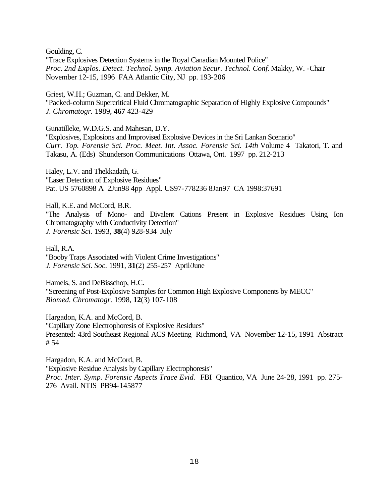Goulding, C.

"Trace Explosives Detection Systems in the Royal Canadian Mounted Police" *Proc. 2nd Explos. Detect. Technol. Symp. Aviation Secur. Technol. Conf.* Makky, W. -Chair November 12-15, 1996 FAA Atlantic City, NJ pp. 193-206

Griest, W.H.; Guzman, C. and Dekker, M. "Packed-column Supercritical Fluid Chromatographic Separation of Highly Explosive Compounds" *J. Chromatogr.* 1989, **467** 423-429

Gunatilleke, W.D.G.S. and Mahesan, D.Y. "Explosives, Explosions and Improvised Explosive Devices in the Sri Lankan Scenario" *Curr. Top. Forensic Sci. Proc. Meet. Int. Assoc. Forensic Sci. 14th* Volume 4 Takatori, T. and Takasu, A. (Eds) Shunderson Communications Ottawa, Ont. 1997 pp. 212-213

Haley, L.V. and Thekkadath, G. "Laser Detection of Explosive Residues" Pat. US 5760898 A 2Jun98 4pp Appl. US97-778236 8Jan97 CA 1998:37691

Hall, K.E. and McCord, B.R. "The Analysis of Mono- and Divalent Cations Present in Explosive Residues Using Ion Chromatography with Conductivity Detection" *J. Forensic Sci.* 1993, **38**(4) 928-934 July

Hall, R.A. "Booby Traps Associated with Violent Crime Investigations" *J. Forensic Sci. Soc.* 1991, **31**(2) 255-257 April/June

Hamels, S. and DeBisschop, H.C. "Screening of Post-Explosive Samples for Common High Explosive Components by MECC" *Biomed. Chromatogr.* 1998, **12**(3) 107-108

Hargadon, K.A. and McCord, B. "Capillary Zone Electrophoresis of Explosive Residues" Presented: 43rd Southeast Regional ACS Meeting Richmond, VA November 12-15, 1991 Abstract # 54

Hargadon, K.A. and McCord, B. "Explosive Residue Analysis by Capillary Electrophoresis" *Proc. Inter. Symp. Forensic Aspects Trace Evid.* FBI Quantico, VA June 24-28, 1991 pp. 275- 276 Avail. NTIS PB94-145877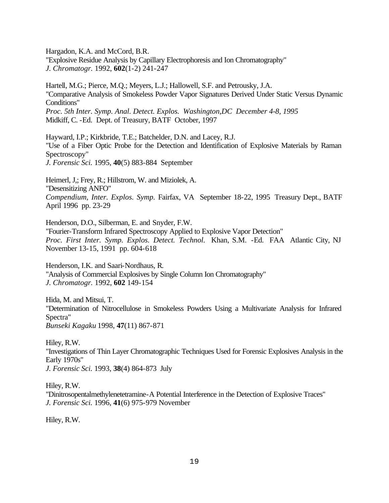Hargadon, K.A. and McCord, B.R.

"Explosive Residue Analysis by Capillary Electrophoresis and Ion Chromatography" *J. Chromatogr.* 1992, **602**(1-2) 241-247

Hartell, M.G.; Pierce, M.Q.; Meyers, L.J.; Hallowell, S.F. and Petrousky, J.A. "Comparative Analysis of Smokeless Powder Vapor Signatures Derived Under Static Versus Dynamic Conditions" *Proc. 5th Inter. Symp. Anal. Detect. Explos. Washington,DC December 4-8, 1995*  Midkiff, C. -Ed. Dept. of Treasury, BATF October, 1997

Hayward, I.P.; Kirkbride, T.E.; Batchelder, D.N. and Lacey, R.J. "Use of a Fiber Optic Probe for the Detection and Identification of Explosive Materials by Raman Spectroscopy" *J. Forensic Sci.* 1995, **40**(5) 883-884 September

Heimerl, J,; Frey, R.; Hillstrom, W. and Miziolek, A. "Desensitizing ANFO" *Compendium, Inter. Explos. Symp.* Fairfax, VA September 18-22, 1995 Treasury Dept., BATF April 1996 pp. 23-29

Henderson, D.O., Silberman, E. and Snyder, F.W. "Fourier-Transform Infrared Spectroscopy Applied to Explosive Vapor Detection" *Proc. First Inter. Symp. Explos. Detect. Technol.* Khan, S.M. -Ed. FAA Atlantic City, NJ November 13-15, 1991 pp. 604-618

Henderson, I.K. and Saari-Nordhaus, R. "Analysis of Commercial Explosives by Single Column Ion Chromatography" *J. Chromatogr.* 1992, **602** 149-154

Hida, M. and Mitsui, T. "Determination of Nitrocellulose in Smokeless Powders Using a Multivariate Analysis for Infrared Spectra" *Bunseki Kagaku* 1998, **47**(11) 867-871

Hiley, R.W. "Investigations of Thin Layer Chromatographic Techniques Used for Forensic Explosives Analysis in the Early 1970s" *J. Forensic Sci.* 1993, **38**(4) 864-873 July

Hiley, R.W. "Dinitrosopentalmethylenetetramine-A Potential Interference in the Detection of Explosive Traces" *J. Forensic Sci.* 1996, **41**(6) 975-979 November

Hiley, R.W.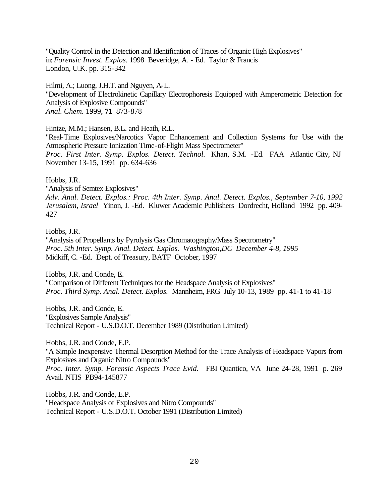"Quality Control in the Detection and Identification of Traces of Organic High Explosives" in: *Forensic Invest. Explos.* 1998 Beveridge, A. - Ed. Taylor & Francis London, U.K. pp. 315-342

Hilmi, A.; Luong, J.H.T. and Nguyen, A-L. "Development of Electrokinetic Capillary Electrophoresis Equipped with Amperometric Detection for Analysis of Explosive Compounds" *Anal. Chem.* 1999, **71** 873-878

Hintze, M.M.; Hansen, B.L. and Heath, R.L.

"Real-Time Explosives/Narcotics Vapor Enhancement and Collection Systems for Use with the Atmospheric Pressure Ionization Time-of-Flight Mass Spectrometer" *Proc. First Inter. Symp. Explos. Detect. Technol.* Khan, S.M. -Ed. FAA Atlantic City, NJ November 13-15, 1991 pp. 634-636

#### Hobbs, J.R.

"Analysis of Semtex Explosives"

*Adv. Anal. Detect. Explos.: Proc. 4th Inter. Symp. Anal. Detect. Explos., September 7-10, 1992 Jerusalem, Israel* Yinon, J. -Ed. Kluwer Academic Publishers Dordrecht, Holland 1992 pp. 409- 427

# Hobbs, J.R.

"Analysis of Propellants by Pyrolysis Gas Chromatography/Mass Spectrometry" *Proc. 5th Inter. Symp. Anal. Detect. Explos. Washington,DC December 4-8, 1995*  Midkiff, C. -Ed. Dept. of Treasury, BATF October, 1997

Hobbs, J.R. and Conde, E. "Comparison of Different Techniques for the Headspace Analysis of Explosives" *Proc. Third Symp. Anal. Detect. Explos.* Mannheim, FRG July 10-13, 1989 pp. 41-1 to 41-18

Hobbs, J.R. and Conde, E. "Explosives Sample Analysis" Technical Report - U.S.D.O.T. December 1989 (Distribution Limited)

Hobbs, J.R. and Conde, E.P.

"A Simple Inexpensive Thermal Desorption Method for the Trace Analysis of Headspace Vapors from Explosives and Organic Nitro Compounds"

*Proc. Inter. Symp. Forensic Aspects Trace Evid.* FBI Quantico, VA June 24-28, 1991 p. 269 Avail. NTIS PB94-145877

Hobbs, J.R. and Conde, E.P. "Headspace Analysis of Explosives and Nitro Compounds" Technical Report - U.S.D.O.T. October 1991 (Distribution Limited)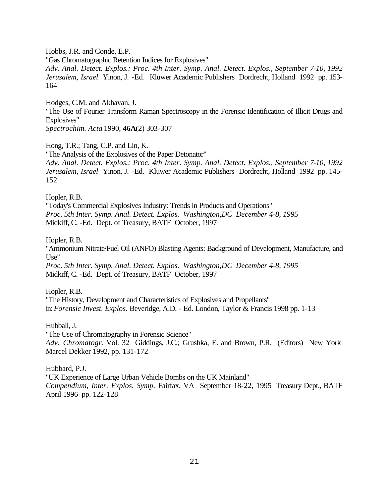Hobbs, J.R. and Conde, E.P. "Gas Chromatographic Retention Indices for Explosives" *Adv. Anal. Detect. Explos.: Proc. 4th Inter. Symp. Anal. Detect. Explos., September 7-10, 1992 Jerusalem, Israel* Yinon, J. -Ed. Kluwer Academic Publishers Dordrecht, Holland 1992 pp. 153- 164

Hodges, C.M. and Akhavan, J. "The Use of Fourier Transform Raman Spectroscopy in the Forensic Identification of Illicit Drugs and Explosives" *Spectrochim. Acta* 1990, **46A**(2) 303-307

Hong, T.R.; Tang, C.P. and Lin, K. "The Analysis of the Explosives of the Paper Detonator" *Adv. Anal. Detect. Explos.: Proc. 4th Inter. Symp. Anal. Detect. Explos., September 7-10, 1992 Jerusalem, Israel* Yinon, J. -Ed. Kluwer Academic Publishers Dordrecht, Holland 1992 pp. 145- 152

Hopler, R.B.

"Today's Commercial Explosives Industry: Trends in Products and Operations" *Proc. 5th Inter. Symp. Anal. Detect. Explos. Washington,DC December 4-8, 1995*  Midkiff, C. -Ed. Dept. of Treasury, BATF October, 1997

Hopler, R.B.

"Ammonium Nitrate/Fuel Oil (ANFO) Blasting Agents: Background of Development, Manufacture, and Use"

*Proc. 5th Inter. Symp. Anal. Detect. Explos. Washington,DC December 4-8, 1995*  Midkiff, C. -Ed. Dept. of Treasury, BATF October, 1997

Hopler, R.B. "The History, Development and Characteristics of Explosives and Propellants" in: *Forensic Invest. Explos.* Beveridge, A.D. - Ed. London, Taylor & Francis 1998 pp. 1-13

Hubball, J.

"The Use of Chromatography in Forensic Science" *Adv. Chromatogr.* Vol. 32 Giddings, J.C.; Grushka, E. and Brown, P.R. (Editors) New York Marcel Dekker 1992, pp. 131-172

Hubbard, P.J.

"UK Experience of Large Urban Vehicle Bombs on the UK Mainland"

*Compendium, Inter. Explos. Symp.* Fairfax, VA September 18-22, 1995 Treasury Dept., BATF April 1996 pp. 122-128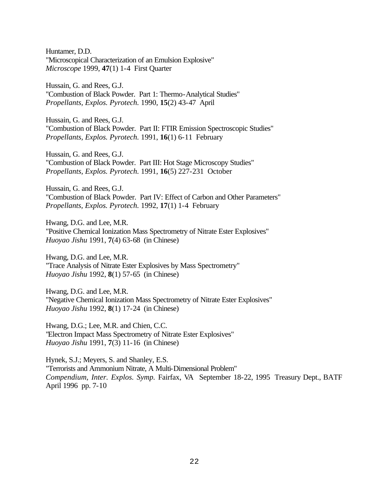Huntamer, D.D. "Microscopical Characterization of an Emulsion Explosive" *Microscope* 1999, **47**(1) 1-4 First Quarter

Hussain, G. and Rees, G.J. "Combustion of Black Powder. Part 1: Thermo-Analytical Studies" *Propellants, Explos. Pyrotech.* 1990, **15**(2) 43-47 April

Hussain, G. and Rees, G.J. "Combustion of Black Powder. Part II: FTIR Emission Spectroscopic Studies" *Propellants, Explos. Pyrotech.* 1991, **16**(1) 6-11 February

Hussain, G. and Rees, G.J. "Combustion of Black Powder. Part III: Hot Stage Microscopy Studies" *Propellants, Explos. Pyrotech.* 1991, **16**(5) 227-231 October

Hussain, G. and Rees, G.J. "Combustion of Black Powder. Part IV: Effect of Carbon and Other Parameters" *Propellants, Explos. Pyrotech.* 1992, **17**(1) 1-4 February

Hwang, D.G. and Lee, M.R. "Positive Chemical Ionization Mass Spectrometry of Nitrate Ester Explosives" *Huoyao Jishu* 1991, **7**(4) 63-68 (in Chinese)

Hwang, D.G. and Lee, M.R. "Trace Analysis of Nitrate Ester Explosives by Mass Spectrometry" *Huoyao Jishu* 1992, **8**(1) 57-65 (in Chinese)

Hwang, D.G. and Lee, M.R. "Negative Chemical Ionization Mass Spectrometry of Nitrate Ester Explosives" *Huoyao Jishu* 1992, **8**(1) 17-24 (in Chinese)

Hwang, D.G.; Lee, M.R. and Chien, C.C. "Electron Impact Mass Spectrometry of Nitrate Ester Explosives" *Huoyao Jishu* 1991, **7**(3) 11-16 (in Chinese)

Hynek, S.J.; Meyers, S. and Shanley, E.S. "Terrorists and Ammonium Nitrate, A Multi-Dimensional Problem" *Compendium, Inter. Explos. Symp.* Fairfax, VA September 18-22, 1995 Treasury Dept., BATF April 1996 pp. 7-10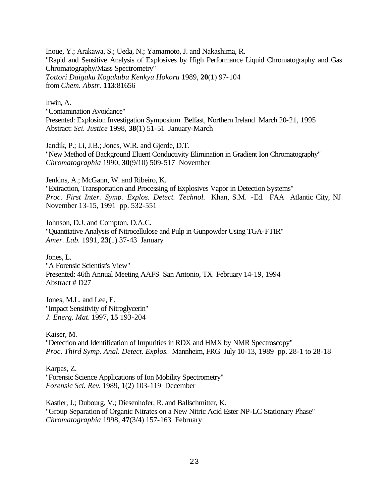Inoue, Y.; Arakawa, S.; Ueda, N.; Yamamoto, J. and Nakashima, R. "Rapid and Sensitive Analysis of Explosives by High Performance Liquid Chromatography and Gas Chromatography/Mass Spectrometry" *Tottori Daigaku Kogakubu Kenkyu Hokoru* 1989, **20**(1) 97-104 from *Chem. Abstr.* **113**:81656

Irwin, A. "Contamination Avoidance" Presented: Explosion Investigation Symposium Belfast, Northern Ireland March 20-21, 1995 Abstract: *Sci. Justice* 1998, **38**(1) 51-51 January-March

Jandik, P.; Li, J.B.; Jones, W.R. and Gjerde, D.T. "New Method of Background Eluent Conductivity Elimination in Gradient Ion Chromatography" *Chromatographia* 1990, **30**(9/10) 509-517 November

Jenkins, A.; McGann, W. and Ribeiro, K. "Extraction, Transportation and Processing of Explosives Vapor in Detection Systems" *Proc. First Inter. Symp. Explos. Detect. Technol.* Khan, S.M. -Ed. FAA Atlantic City, NJ November 13-15, 1991 pp. 532-551

Johnson, D.J. and Compton, D.A.C. "Quantitative Analysis of Nitrocellulose and Pulp in Gunpowder Using TGA-FTIR" *Amer. Lab.* 1991, **23**(1) 37-43 January

Jones, L. "A Forensic Scientist's View" Presented: 46th Annual Meeting AAFS San Antonio, TX February 14-19, 1994 Abstract # D27

Jones, M.L. and Lee, E. "Impact Sensitivity of Nitroglycerin" *J. Energ. Mat.* 1997, **15** 193-204

Kaiser, M. "Detection and Identification of Impurities in RDX and HMX by NMR Spectroscopy" *Proc. Third Symp. Anal. Detect. Explos.* Mannheim, FRG July 10-13, 1989 pp. 28-1 to 28-18

Karpas, Z. "Forensic Science Applications of Ion Mobility Spectrometry" *Forensic Sci. Rev.* 1989, **1**(2) 103-119 December

Kastler, J.; Dubourg, V.; Diesenhofer, R. and Ballschmitter, K. "Group Separation of Organic Nitrates on a New Nitric Acid Ester NP-LC Stationary Phase" *Chromatographia* 1998, **47**(3/4) 157-163 February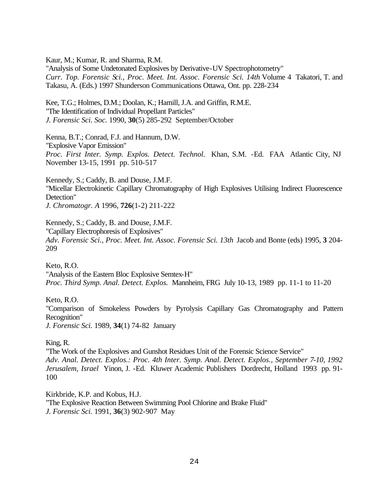Kaur, M.; Kumar, R. and Sharma, R.M.

"Analysis of Some Undetonated Explosives by Derivative-UV Spectrophotometry" *Curr. Top. Forensic Sci., Proc. Meet. Int. Assoc. Forensic Sci. 14th* Volume 4 Takatori, T. and Takasu, A. (Eds.) 1997 Shunderson Communications Ottawa, Ont. pp. 228-234

Kee, T.G.; Holmes, D.M.; Doolan, K.; Hamill, J.A. and Griffin, R.M.E. "The Identification of Individual Propellant Particles" *J. Forensic Sci. Soc.* 1990, **30**(5) 285-292 September/October

Kenna, B.T.; Conrad, F.J. and Hannum, D.W. "Explosive Vapor Emission" *Proc. First Inter. Symp. Explos. Detect. Technol.* Khan, S.M. -Ed. FAA Atlantic City, NJ November 13-15, 1991 pp. 510-517

Kennedy, S.; Caddy, B. and Douse, J.M.F. "Micellar Electrokinetic Capillary Chromatography of High Explosives Utilising Indirect Fluorescence Detection" *J. Chromatogr. A* 1996, **726**(1-2) 211-222

Kennedy, S.; Caddy, B. and Douse, J.M.F. "Capillary Electrophoresis of Explosives" *Adv. Forensic Sci., Proc. Meet. Int. Assoc. Forensic Sci. 13th* Jacob and Bonte (eds) 1995, **3** 204- 209

Keto, R.O. "Analysis of the Eastern Bloc Explosive Semtex-H" *Proc. Third Symp. Anal. Detect. Explos.* Mannheim, FRG July 10-13, 1989 pp. 11-1 to 11-20

Keto, R.O.

"Comparison of Smokeless Powders by Pyrolysis Capillary Gas Chromatography and Pattern Recognition"

*J. Forensic Sci.* 1989, **34**(1) 74-82 January

King, R.

"The Work of the Explosives and Gunshot Residues Unit of the Forensic Science Service" *Adv. Anal. Detect. Explos.: Proc. 4th Inter. Symp. Anal. Detect. Explos., September 7-10, 1992 Jerusalem, Israel* Yinon, J. -Ed. Kluwer Academic Publishers Dordrecht, Holland 1993 pp. 91- 100

Kirkbride, K.P. and Kobus, H.J. "The Explosive Reaction Between Swimming Pool Chlorine and Brake Fluid" *J. Forensic Sci.* 1991, **36**(3) 902-907 May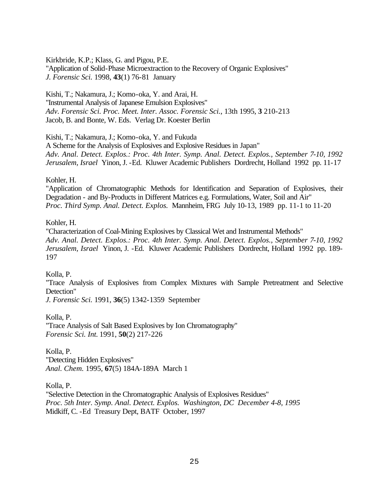Kirkbride, K.P.; Klass, G. and Pigou, P.E.

"Application of Solid-Phase Microextraction to the Recovery of Organic Explosives" *J. Forensic Sci.* 1998, **43**(1) 76-81 January

Kishi, T.; Nakamura, J.; Komo-oka, Y. and Arai, H. "Instrumental Analysis of Japanese Emulsion Explosives" *Adv. Forensic Sci. Proc. Meet. Inter. Assoc. Forensic Sci.*, 13th 1995, **3** 210-213 Jacob, B. and Bonte, W. Eds. Verlag Dr. Koester Berlin

Kishi, T.; Nakamura, J.; Komo-oka, Y. and Fukuda

A Scheme for the Analysis of Explosives and Explosive Residues in Japan" *Adv. Anal. Detect. Explos.: Proc. 4th Inter. Symp. Anal. Detect. Explos., September 7-10, 1992 Jerusalem, Israel* Yinon, J. -Ed. Kluwer Academic Publishers Dordrecht, Holland 1992 pp. 11-17

Kohler, H.

"Application of Chromatographic Methods for Identification and Separation of Explosives, their Degradation - and By-Products in Different Matrices e.g. Formulations, Water, Soil and Air" *Proc. Third Symp. Anal. Detect. Explos.* Mannheim, FRG July 10-13, 1989 pp. 11-1 to 11-20

Kohler, H.

"Characterization of Coal-Mining Explosives by Classical Wet and Instrumental Methods" *Adv. Anal. Detect. Explos.: Proc. 4th Inter. Symp. Anal. Detect. Explos., September 7-10, 1992 Jerusalem, Israel* Yinon, J. -Ed. Kluwer Academic Publishers Dordrecht, Holland 1992 pp. 189- 197

Kolla, P.

"Trace Analysis of Explosives from Complex Mixtures with Sample Pretreatment and Selective Detection"

*J. Forensic Sci.* 1991, **36**(5) 1342-1359 September

Kolla, P.

"Trace Analysis of Salt Based Explosives by Ion Chromatography" *Forensic Sci. Int.* 1991, **50**(2) 217-226

Kolla, P. "Detecting Hidden Explosives" *Anal. Chem.* 1995, **67**(5) 184A-189A March 1

Kolla, P.

"Selective Detection in the Chromatographic Analysis of Explosives Residues" *Proc. 5th Inter. Symp. Anal. Detect. Explos. Washington, DC December 4-8, 1995* Midkiff, C. -Ed Treasury Dept, BATF October, 1997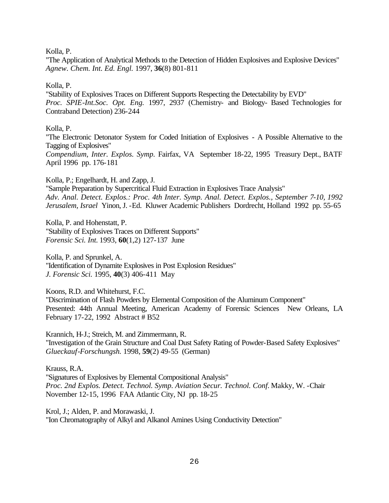Kolla, P.

"The Application of Analytical Methods to the Detection of Hidden Explosives and Explosive Devices" *Agnew. Chem. Int. Ed. Engl.* 1997, **36**(8) 801-811

# Kolla, P.

"Stability of Explosives Traces on Different Supports Respecting the Detectability by EVD" *Proc. SPIE-Int.Soc. Opt. Eng.* 1997, 2937 (Chemistry- and Biology- Based Technologies for Contraband Detection) 236-244

# Kolla, P.

"The Electronic Detonator System for Coded Initiation of Explosives - A Possible Alternative to the Tagging of Explosives" *Compendium, Inter. Explos. Symp.* Fairfax, VA September 18-22, 1995 Treasury Dept., BATF April 1996 pp. 176-181

Kolla, P.; Engelhardt, H. and Zapp, J.

"Sample Preparation by Supercritical Fluid Extraction in Explosives Trace Analysis" *Adv. Anal. Detect. Explos.: Proc. 4th Inter. Symp. Anal. Detect. Explos., September 7-10, 1992 Jerusalem, Israel* Yinon, J. -Ed. Kluwer Academic Publishers Dordrecht, Holland 1992 pp. 55-65

Kolla, P. and Hohenstatt, P. "Stability of Explosives Traces on Different Supports" *Forensic Sci. Int.* 1993, **60**(1,2) 127-137 June

Kolla, P. and Sprunkel, A. "Identification of Dynamite Explosives in Post Explosion Residues" *J. Forensic Sci.* 1995, **40**(3) 406-411 May

Koons, R.D. and Whitehurst, F.C. "Discrimination of Flash Powders by Elemental Composition of the Aluminum Component" Presented: 44th Annual Meeting, American Academy of Forensic Sciences New Orleans, LA February 17-22, 1992 Abstract # B52

Krannich, H-J.; Streich, M. and Zimmermann, R. "Investigation of the Grain Structure and Coal Dust Safety Rating of Powder-Based Safety Explosives" *Glueckauf-Forschungsh.* 1998, **59**(2) 49-55 (German)

Krauss, R.A. "Signatures of Explosives by Elemental Compositional Analysis" *Proc. 2nd Explos. Detect. Technol. Symp. Aviation Secur. Technol. Conf.* Makky, W. -Chair November 12-15, 1996 FAA Atlantic City, NJ pp. 18-25

Krol, J.; Alden, P. and Morawaski, J. "Ion Chromatography of Alkyl and Alkanol Amines Using Conductivity Detection"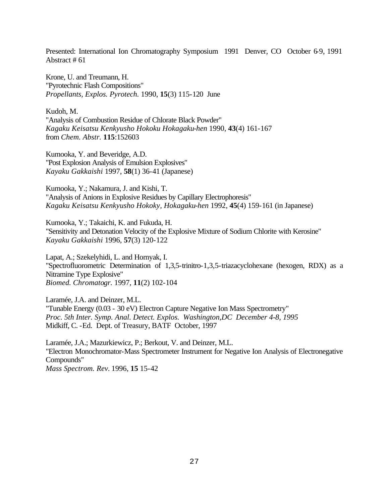Presented: International Ion Chromatography Symposium 1991 Denver, CO October 6-9, 1991 Abstract # 61

Krone, U. and Treumann, H. "Pyrotechnic Flash Compositions" *Propellants, Explos. Pyrotech.* 1990, **15**(3) 115-120 June

Kudoh, M. "Analysis of Combustion Residue of Chlorate Black Powder" *Kagaku Keisatsu Kenkyusho Hokoku Hokagaku-hen* 1990, **43**(4) 161-167 from *Chem. Abstr.* **115**:152603

Kumooka, Y. and Beveridge, A.D. "Post Explosion Analysis of Emulsion Explosives" *Kayaku Gakkaishi* 1997, **58**(1) 36-41 (Japanese)

Kumooka, Y.; Nakamura, J. and Kishi, T. "Analysis of Anions in Explosive Residues by Capillary Electrophoresis" *Kagaku Keisatsu Kenkyusho Hokoky, Hokagaku-hen* 1992, **45**(4) 159-161 (in Japanese)

Kumooka, Y.; Takaichi, K. and Fukuda, H. "Sensitivity and Detonation Velocity of the Explosive Mixture of Sodium Chlorite with Kerosine" *Kayaku Gakkaishi* 1996, **57**(3) 120-122

Lapat, A.; Szekelyhidi, L. and Hornyak, I. "Spectrofluorometric Determination of 1,3,5-trinitro-1,3,5-triazacyclohexane (hexogen, RDX) as a Nitramine Type Explosive" *Biomed. Chromatogr.* 1997, **11**(2) 102-104

Laramée, J.A. and Deinzer, M.L. "Tunable Energy (0.03 - 30 eV) Electron Capture Negative Ion Mass Spectrometry" *Proc. 5th Inter. Symp. Anal. Detect. Explos. Washington,DC December 4-8, 1995*  Midkiff, C. -Ed. Dept. of Treasury, BATF October, 1997

Laramée, J.A.; Mazurkiewicz, P.; Berkout, V. and Deinzer, M.L. "Electron Monochromator-Mass Spectrometer Instrument for Negative Ion Analysis of Electronegative Compounds" *Mass Spectrom. Rev.* 1996, **15** 15-42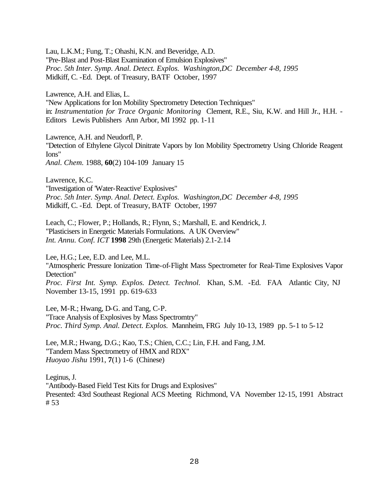Lau, L.K.M.; Fung, T.; Ohashi, K.N. and Beveridge, A.D. "Pre-Blast and Post-Blast Examination of Emulsion Explosives" *Proc. 5th Inter. Symp. Anal. Detect. Explos. Washington,DC December 4-8, 1995*  Midkiff, C. -Ed. Dept. of Treasury, BATF October, 1997

Lawrence, A.H. and Elias, L.

"New Applications for Ion Mobility Spectrometry Detection Techniques" in: *Instrumentation for Trace Organic Monitoring* Clement, R.E., Siu, K.W. and Hill Jr., H.H. - Editors Lewis Publishers Ann Arbor, MI 1992 pp. 1-11

Lawrence, A.H. and Neudorfl, P.

"Detection of Ethylene Glycol Dinitrate Vapors by Ion Mobility Spectrometry Using Chloride Reagent Ions"

*Anal. Chem.* 1988, **60**(2) 104-109 January 15

Lawrence, K.C.

"Investigation of 'Water-Reactive' Explosives" *Proc. 5th Inter. Symp. Anal. Detect. Explos. Washington,DC December 4-8, 1995*  Midkiff, C. -Ed. Dept. of Treasury, BATF October, 1997

Leach, C.; Flower, P.; Hollands, R.; Flynn, S.; Marshall, E. and Kendrick, J. "Plasticisers in Energetic Materials Formulations. A UK Overview" *Int. Annu. Conf. ICT* **1998** 29th (Energetic Materials) 2.1-2.14

Lee, H.G.; Lee, E.D. and Lee, M.L.

"Atmospheric Pressure Ionization Time-of-Flight Mass Spectrometer for Real-Time Explosives Vapor Detection"

*Proc. First Int. Symp. Explos. Detect. Technol.* Khan, S.M. -Ed. FAA Atlantic City, NJ November 13-15, 1991 pp. 619-633

Lee, M-R.; Hwang, D-G. and Tang, C-P. "Trace Analysis of Explosives by Mass Spectromtry" *Proc. Third Symp. Anal. Detect. Explos.* Mannheim, FRG July 10-13, 1989 pp. 5-1 to 5-12

Lee, M.R.; Hwang, D.G.; Kao, T.S.; Chien, C.C.; Lin, F.H. and Fang, J.M. "Tandem Mass Spectrometry of HMX and RDX" *Huoyao Jishu* 1991, **7**(1) 1-6 (Chinese)

Leginus, J. "Antibody-Based Field Test Kits for Drugs and Explosives" Presented: 43rd Southeast Regional ACS Meeting Richmond, VA November 12-15, 1991 Abstract # 53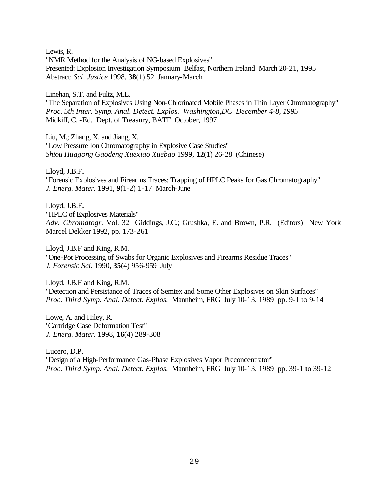Lewis, R. "NMR Method for the Analysis of NG-based Explosives" Presented: Explosion Investigation Symposium Belfast, Northern Ireland March 20-21, 1995 Abstract: *Sci. Justice* 1998, **38**(1) 52 January-March

Linehan, S.T. and Fultz, M.L.

"The Separation of Explosives Using Non-Chlorinated Mobile Phases in Thin Layer Chromatography" *Proc. 5th Inter. Symp. Anal. Detect. Explos. Washington,DC December 4-8, 1995*  Midkiff, C. -Ed. Dept. of Treasury, BATF October, 1997

Liu, M.; Zhang, X. and Jiang, X. "Low Pressure Ion Chromatography in Explosive Case Studies" *Shiou Huagong Gaodeng Xuexiao Xuebao* 1999, **12**(1) 26-28 (Chinese)

Lloyd, J.B.F. "Forensic Explosives and Firearms Traces: Trapping of HPLC Peaks for Gas Chromatography" *J. Energ. Mater.* 1991, **9**(1-2) 1-17 March-June

Lloyd, J.B.F. "HPLC of Explosives Materials" *Adv. Chromatogr.* Vol. 32 Giddings, J.C.; Grushka, E. and Brown, P.R. (Editors) New York Marcel Dekker 1992, pp. 173-261

Lloyd, J.B.F and King, R.M. "One-Pot Processing of Swabs for Organic Explosives and Firearms Residue Traces" *J. Forensic Sci.* 1990, **35**(4) 956-959 July

Lloyd, J.B.F and King, R.M. "Detection and Persistance of Traces of Semtex and Some Other Explosives on Skin Surfaces" *Proc. Third Symp. Anal. Detect. Explos.* Mannheim, FRG July 10-13, 1989 pp. 9-1 to 9-14

Lowe, A. and Hiley, R. "Cartridge Case Deformation Test" *J. Energ. Mater.* 1998, **16**(4) 289-308

Lucero, D.P. "Design of a High-Performance Gas-Phase Explosives Vapor Preconcentrator" *Proc. Third Symp. Anal. Detect. Explos.* Mannheim, FRG July 10-13, 1989 pp. 39-1 to 39-12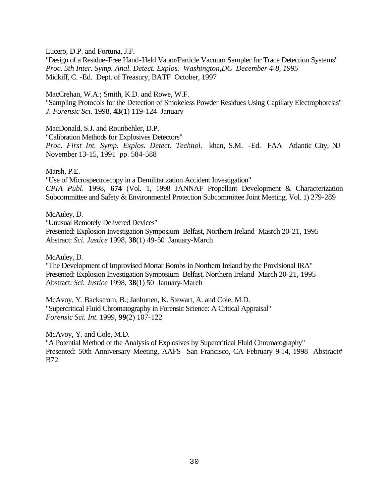Lucero, D.P. and Fortuna, J.F.

"Design of a Residue-Free Hand-Held Vapor/Particle Vacuum Sampler for Trace Detection Systems" *Proc. 5th Inter. Symp. Anal. Detect. Explos. Washington,DC December 4-8, 1995*  Midkiff, C. -Ed. Dept. of Treasury, BATF October, 1997

MacCrehan, W.A.; Smith, K.D. and Rowe, W.F. "Sampling Protocols for the Detection of Smokeless Powder Residues Using Capillary Electrophoresis" *J. Forensic Sci.* 1998, **43**(1) 119-124 January

MacDonald, S.J. and Rounbehler, D.P.

"Calibration Methods for Explosives Detectors" *Proc. First Int. Symp. Explos. Detect. Technol.* khan, S.M. -Ed. FAA Atlantic City, NJ November 13-15, 1991 pp. 584-588

Marsh, P.E.

"Use of Microspectroscopy in a Demilitarization Accident Investigation" *CPIA Publ.* 1998, **674** (Vol. 1, 1998 JANNAF Propellant Development & Characterization Subcommittee and Safety & Environmental Protection Subcommittee Joint Meeting, Vol. 1) 279-289

McAuley, D.

"Unusual Remotely Delivered Devices"

Presented: Explosion Investigation Symposium Belfast, Northern Ireland Masrch 20-21, 1995 Abstract: *Sci. Justice* 1998, **38**(1) 49-50 January-March

McAuley, D.

"The Development of Improvised Mortar Bombs in Northern Ireland by the Provisional IRA" Presented: Explosion Investigation Symposium Belfast, Northern Ireland March 20-21, 1995 Abstract: *Sci. Justice* 1998, **38**(1) 50 January-March

McAvoy, Y. Backstrom, B.; Janhunen, K. Stewart, A. and Cole, M.D. "Supercritical Fluid Chromatography in Forensic Science: A Critical Appraisal" *Forensic Sci. Int.* 1999, **99**(2) 107-122

McAvoy, Y. and Cole, M.D.

"A Potential Method of the Analysis of Explosives by Supercritical Fluid Chromatography" Presented: 50th Anniversary Meeting, AAFS San Francisco, CA February 9-14, 1998 Abstract# B72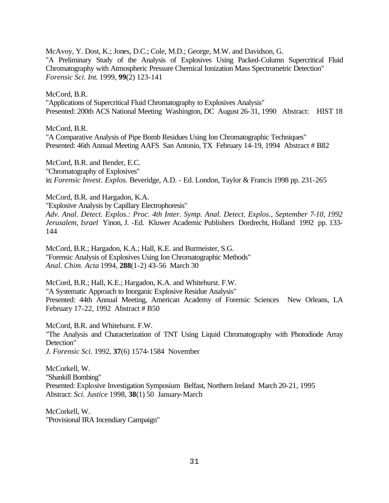McAvoy, Y. Dost, K.; Jones, D.C.; Cole, M.D.; George, M.W. and Davidson, G. "A Preliminary Study of the Analysis of Explosives Using Packed-Column Supercritical Fluid Chromatography with Atmospheric Pressure Chemical Ionization Mass Spectrometric Detection" *Forensic Sci. Int.* 1999, **99**(2) 123-141

### McCord, B.R.

"Applications of Supercritical Fluid Chromatography to Explosives Analysis" Presented: 200th ACS National Meeting Washington, DC August 26-31, 1990 Abstract: HIST 18

### McCord, B.R.

"A Comparative Analysis of Pipe Bomb Residues Using Ion Chromatographic Techniques" Presented: 46th Annual Meeting AAFS San Antonio, TX February 14-19, 1994 Abstract # B82

McCord, B.R. and Bender, E.C. "Chromatography of Explosives" in: *Forensic Invest. Explos.* Beveridge, A.D. - Ed. London, Taylor & Francis 1998 pp. 231-265

McCord, B.R. and Hargadon, K.A.

"Explosive Analysis by Capillary Electrophoresis"

*Adv. Anal. Detect. Explos.: Proc. 4th Inter. Symp. Anal. Detect. Explos., September 7-10, 1992 Jerusalem, Israel* Yinon, J. -Ed. Kluwer Academic Publishers Dordrecht, Holland 1992 pp. 133- 144

McCord, B.R.; Hargadon, K.A.; Hall, K.E. and Burmeister, S.G. "Forensic Analysis of Explosives Using Ion Chromatographic Methods" *Anal. Chim. Acta* 1994, **288**(1-2) 43-56 March 30

McCord, B.R.; Hall, K.E.; Hargadon, K.A. and Whitehurst. F.W. "A Systematic Approach to Inorganic Explosive Residue Analysis" Presented: 44th Annual Meeting, American Academy of Forensic Sciences New Orleans, LA February 17-22, 1992 Abstract # B50

McCord, B.R. and Whitehurst. F.W. "The Analysis and Characterization of TNT Using Liquid Chromatography with Photodiode Array Detection" *J. Forensic Sci.* 1992, **37**(6) 1574-1584 November

McCorkell, W. "Shankill Bombing" Presented: Explosive Investigation Symposium Belfast, Northern Ireland March 20-21, 1995 Abstract: *Sci. Justice* 1998, **38**(1) 50 January-March

McCorkell, W. "Provisional IRA Incendiary Campaign"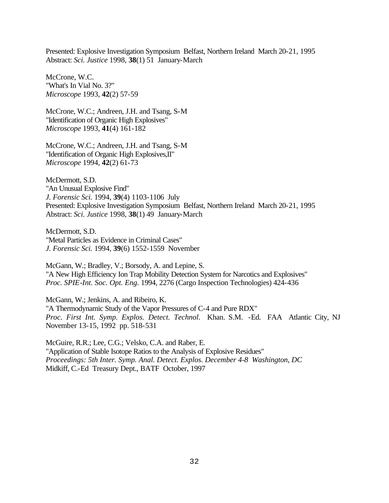Presented: Explosive Investigation Symposium Belfast, Northern Ireland March 20-21, 1995 Abstract: *Sci. Justice* 1998, **38**(1) 51 January-March

McCrone, W.C. "What's In Vial No. 3?" *Microscope* 1993, **42**(2) 57-59

McCrone, W.C.; Andreen, J.H. and Tsang, S-M "Identification of Organic High Explosives" *Microscope* 1993, **41**(4) 161-182

McCrone, W.C.; Andreen, J.H. and Tsang, S-M "Identification of Organic High Explosives,II" *Microscope* 1994, **42**(2) 61-73

McDermott, S.D. "An Unusual Explosive Find" *J. Forensic Sci.* 1994, **39**(4) 1103-1106 July Presented: Explosive Investigation Symposium Belfast, Northern Ireland March 20-21, 1995 Abstract: *Sci. Justice* 1998, **38**(1) 49 January-March

McDermott, S.D. "Metal Particles as Evidence in Criminal Cases" *J. Forensic Sci.* 1994, **39**(6) 1552-1559 November

McGann, W.; Bradley, V.; Borsody, A. and Lepine, S. "A New High Efficiency Ion Trap Mobility Detection System for Narcotics and Explosives" *Proc. SPIE-Int. Soc. Opt. Eng.* 1994, 2276 (Cargo Inspection Technologies) 424-436

McGann, W.; Jenkins, A. and Ribeiro, K. "A Thermodynamic Study of the Vapor Pressures of C-4 and Pure RDX" *Proc. First Int. Symp. Explos. Detect. Technol.* Khan. S.M. -Ed. FAA Atlantic City, NJ November 13-15, 1992 pp. 518-531

McGuire, R.R.; Lee, C.G.; Velsko, C.A. and Raber, E. "Application of Stable Isotope Ratios to the Analysis of Explosive Residues" *Proceedings: 5th Inter. Symp. Anal. Detect. Explos. December 4-8 Washington, DC* Midkiff, C.-Ed Treasury Dept., BATF October, 1997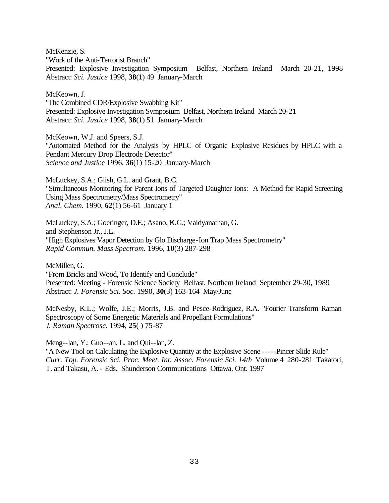McKenzie, S.

"Work of the Anti-Terrorist Branch"

Presented: Explosive Investigation Symposium Belfast, Northern Ireland March 20-21, 1998 Abstract: *Sci. Justice* 1998, **38**(1) 49 January-March

McKeown, J.

"The Combined CDR/Explosive Swabbing Kit" Presented: Explosive Investigation Symposium Belfast, Northern Ireland March 20-21 Abstract: *Sci. Justice* 1998, **38**(1) 51 January-March

McKeown, W.J. and Speers, S.J. "Automated Method for the Analysis by HPLC of Organic Explosive Residues by HPLC with a Pendant Mercury Drop Electrode Detector" *Science and Justice* 1996, **36**(1) 15-20 January-March

McLuckey, S.A.; Glish, G.L. and Grant, B.C. "Simultaneous Monitoring for Parent Ions of Targeted Daughter Ions: A Method for Rapid Screening Using Mass Spectrometry/Mass Spectrometry" *Anal. Chem.* 1990, **62**(1) 56-61 January 1

McLuckey, S.A.; Goeringer, D.E.; Asano, K.G.; Vaidyanathan, G. and Stephenson Jr., J.L. "High Explosives Vapor Detection by Glo Discharge-Ion Trap Mass Spectrometry" *Rapid Commun. Mass Spectrom.* 1996, **10**(3) 287-298

McMillen, G.

"From Bricks and Wood, To Identify and Conclude" Presented: Meeting - Forensic Science Society Belfast, Northern Ireland September 29-30, 1989 Abstract: *J. Forensic Sci. Soc.* 1990, **30**(3) 163-164 May/June

McNesby, K.L.; Wolfe, J.E.; Morris, J.B. and Pesce-Rodriguez, R.A. "Fourier Transform Raman Spectroscopy of Some Energetic Materials and Propellant Formulations" *J. Raman Spectrosc.* 1994, **25**( ) 75-87

Meng--lan, Y.; Guo--an, L. and Qui--lan, Z.

"A New Tool on Calculating the Explosive Quantity at the Explosive Scene -----Pincer Slide Rule" *Curr. Top. Forensic Sci. Proc. Meet. Int. Assoc. Forensic Sci. 14th* Volume 4 280-281 Takatori, T. and Takasu, A. - Eds. Shunderson Communications Ottawa, Ont. 1997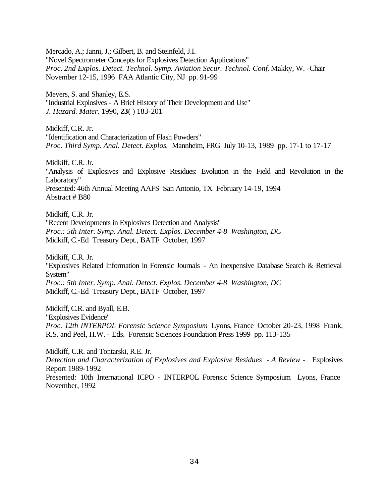Mercado, A.; Janni, J.; Gilbert, B. and Steinfeld, J.I. "Novel Spectrometer Concepts for Explosives Detection Applications" *Proc. 2nd Explos. Detect. Technol. Symp. Aviation Secur. Technol. Conf.* Makky, W. -Chair November 12-15, 1996 FAA Atlantic City, NJ pp. 91-99

Meyers, S. and Shanley, E.S. "Industrial Explosives - A Brief History of Their Development and Use" *J. Hazard. Mater.* 1990, **23**( ) 183-201

Midkiff, C.R. Jr. "Identification and Characterization of Flash Powders" *Proc. Third Symp. Anal. Detect. Explos.* Mannheim, FRG July 10-13, 1989 pp. 17-1 to 17-17

Midkiff, C.R. Jr.

"Analysis of Explosives and Explosive Residues: Evolution in the Field and Revolution in the Laboratory" Presented: 46th Annual Meeting AAFS San Antonio, TX February 14-19, 1994

Abstract # B80

Midkiff, C.R. Jr.

"Recent Developments in Explosives Detection and Analysis" *Proc.: 5th Inter. Symp. Anal. Detect. Explos. December 4-8 Washington, DC* Midkiff, C.-Ed Treasury Dept., BATF October, 1997

Midkiff, C.R. Jr.

"Explosives Related Information in Forensic Journals - An inexpensive Database Search & Retrieval System"

*Proc.: 5th Inter. Symp. Anal. Detect. Explos. December 4-8 Washington, DC* Midkiff, C.-Ed Treasury Dept., BATF October, 1997

Midkiff, C.R. and Byall, E.B. "Explosives Evidence" *Proc. 12th INTERPOL Forensic Science Symposium* Lyons, France October 20-23, 1998 Frank, R.S. and Peel, H.W. - Eds. Forensic Sciences Foundation Press 1999 pp. 113-135

Midkiff, C.R. and Tontarski, R.E. Jr.

*Detection and Characterization of Explosives and Explosive Residues - A Review -* Explosives Report 1989-1992

Presented: 10th International ICPO - INTERPOL Forensic Science Symposium Lyons, France November, 1992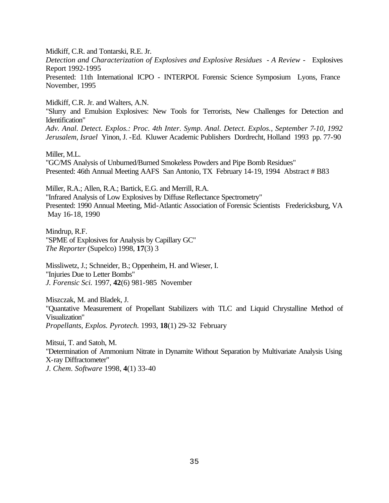Midkiff, C.R. and Tontarski, R.E. Jr.

*Detection and Characterization of Explosives and Explosive Residues - A Review -* Explosives Report 1992-1995

Presented: 11th International ICPO - INTERPOL Forensic Science Symposium Lyons, France November, 1995

Midkiff, C.R. Jr. and Walters, A.N.

"Slurry and Emulsion Explosives: New Tools for Terrorists, New Challenges for Detection and Identification"

*Adv. Anal. Detect. Explos.: Proc. 4th Inter. Symp. Anal. Detect. Explos., September 7-10, 1992 Jerusalem, Israel* Yinon, J. -Ed. Kluwer Academic Publishers Dordrecht, Holland 1993 pp. 77-90

Miller, M.L.

"GC/MS Analysis of Unburned/Burned Smokeless Powders and Pipe Bomb Residues" Presented: 46th Annual Meeting AAFS San Antonio, TX February 14-19, 1994 Abstract # B83

Miller, R.A.; Allen, R.A.; Bartick, E.G. and Merrill, R.A. "Infrared Analysis of Low Explosives by Diffuse Reflectance Spectrometry" Presented: 1990 Annual Meeting, Mid-Atlantic Association of Forensic Scientists Fredericksburg, VA May 16-18, 1990

Mindrup, R.F. "SPME of Explosives for Analysis by Capillary GC" *The Reporter* (Supelco) 1998, **17**(3) 3

Missliwetz, J.; Schneider, B.; Oppenheim, H. and Wieser, I. "Injuries Due to Letter Bombs" *J. Forensic Sci.* 1997, **42**(6) 981-985 November

Miszczak, M. and Bladek, J. "Quantative Measurement of Propellant Stabilizers with TLC and Liquid Chrystalline Method of Visualization" *Propellants, Explos. Pyrotech.* 1993, **18**(1) 29-32 February

Mitsui, T. and Satoh, M. "Determination of Ammonium Nitrate in Dynamite Without Separation by Multivariate Analysis Using X-ray Diffractometer" *J. Chem. Software* 1998, **4**(1) 33-40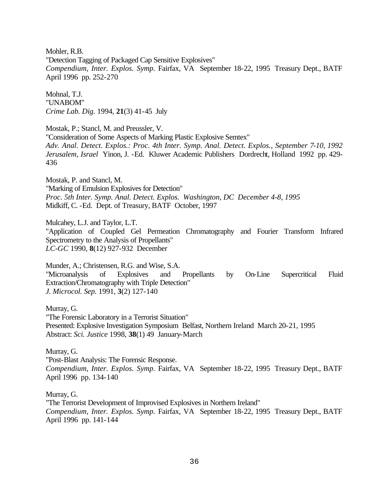Mohler, R.B. "Detection Tagging of Packaged Cap Sensitive Explosives" *Compendium, Inter. Explos. Symp.* Fairfax, VA September 18-22, 1995 Treasury Dept., BATF April 1996 pp. 252-270

Mohnal, T.J. "UNABOM" *Crime Lab. Dig.* 1994, **21**(3) 41-45 July

Mostak, P.; Stancl, M. and Preussler, V. "Consideration of Some Aspects of Marking Plastic Explosive Semtex" *Adv. Anal. Detect. Explos.: Proc. 4th Inter. Symp. Anal. Detect. Explos., September 7-10, 1992 Jerusalem, Israel* Yinon, J. -Ed. Kluwer Academic Publishers Dordrecht, Holland 1992 pp. 429- 436

Mostak, P. and Stancl, M. "Marking of Emulsion Explosives for Detection" *Proc. 5th Inter. Symp. Anal. Detect. Explos. Washington, DC December 4-8, 1995*  Midkiff, C. -Ed. Dept. of Treasury, BATF October, 1997

Mulcahey, L.J. and Taylor, L.T. "Application of Coupled Gel Permeation Chromatography and Fourier Transform Infrared Spectrometry to the Analysis of Propellants" *LC-GC* 1990, **8**(12) 927-932 December

Munder, A.; Christensen, R.G. and Wise, S.A. "Microanalysis of Explosives and Propellants by On-Line Supercritical Fluid Extraction/Chromatography with Triple Detection" *J. Microcol. Sep.* 1991, **3**(2) 127-140

Murray, G.

"The Forensic Laboratory in a Terrorist Situation" Presented: Explosive Investigation Symposium Belfast, Northern Ireland March 20-21, 1995 Abstract: *Sci. Justice* 1998, **38**(1) 49 January-March

Murray, G. "Post-Blast Analysis: The Forensic Response. *Compendium, Inter. Explos. Symp.* Fairfax, VA September 18-22, 1995 Treasury Dept., BATF April 1996 pp. 134-140

Murray, G. "The Terrorist Development of Improvised Explosives in Northern Ireland" *Compendium, Inter. Explos. Symp.* Fairfax, VA September 18-22, 1995 Treasury Dept., BATF April 1996 pp. 141-144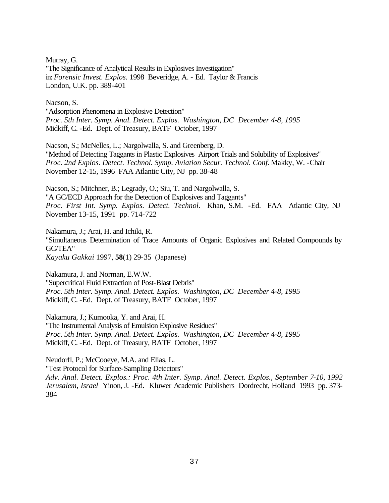Murray, G. "The Significance of Analytical Results in Explosives Investigation" in: *Forensic Invest. Explos.* 1998 Beveridge, A. - Ed. Taylor & Francis London, U.K. pp. 389-401

Nacson, S. "Adsorption Phenomena in Explosive Detection" *Proc. 5th Inter. Symp. Anal. Detect. Explos. Washington, DC December 4-8, 1995*  Midkiff, C. -Ed. Dept. of Treasury, BATF October, 1997

Nacson, S.; McNelles, L.; Nargolwalla, S. and Greenberg, D. "Method of Detecting Taggants in Plastic Explosives Airport Trials and Solubility of Explosives" *Proc. 2nd Explos. Detect. Technol. Symp. Aviation Secur. Technol. Conf.* Makky, W. -Chair November 12-15, 1996 FAA Atlantic City, NJ pp. 38-48

Nacson, S.; Mitchner, B.; Legrady, O.; Siu, T. and Nargolwalla, S. "A GC/ECD Approach for the Detection of Explosives and Taggants" *Proc. First Int. Symp. Explos. Detect. Technol.* Khan, S.M. -Ed. FAA Atlantic City, NJ November 13-15, 1991 pp. 714-722

Nakamura, J.; Arai, H. and Ichiki, R. "Simultaneous Determination of Trace Amounts of Organic Explosives and Related Compounds by GC/TEA" *Kayaku Gakkai* 1997, **58**(1) 29-35 (Japanese)

Nakamura, J. and Norman, E.W.W. "Supercritical Fluid Extraction of Post-Blast Debris" *Proc. 5th Inter. Symp. Anal. Detect. Explos. Washington, DC December 4-8, 1995*  Midkiff, C. -Ed. Dept. of Treasury, BATF October, 1997

Nakamura, J.; Kumooka, Y. and Arai, H. "The Instrumental Analysis of Emulsion Explosive Residues" *Proc. 5th Inter. Symp. Anal. Detect. Explos. Washington, DC December 4-8, 1995*  Midkiff, C. -Ed. Dept. of Treasury, BATF October, 1997

Neudorfl, P.; McCooeye, M.A. and Elias, L.

"Test Protocol for Surface-Sampling Detectors"

*Adv. Anal. Detect. Explos.: Proc. 4th Inter. Symp. Anal. Detect. Explos., September 7-10, 1992 Jerusalem, Israel* Yinon, J. -Ed. Kluwer Academic Publishers Dordrecht, Holland 1993 pp. 373- 384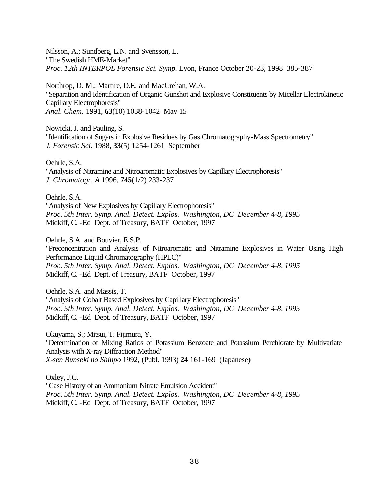Nilsson, A.; Sundberg, L.N. and Svensson, L. "The Swedish HME-Market" *Proc. 12th INTERPOL Forensic Sci. Symp.* Lyon, France October 20-23, 1998 385-387

Northrop, D. M.; Martire, D.E. and MacCrehan, W.A. "Separation and Identification of Organic Gunshot and Explosive Constituents by Micellar Electrokinetic Capillary Electrophoresis" *Anal. Chem.* 1991, **63**(10) 1038-1042 May 15

Nowicki, J. and Pauling, S. "Identification of Sugars in Explosive Residues by Gas Chromatography-Mass Spectrometry" *J. Forensic Sci.* 1988, **33**(5) 1254-1261 September

Oehrle, S.A. "Analysis of Nitramine and Nitroaromatic Explosives by Capillary Electrophoresis" *J. Chromatogr. A* 1996, **745**(1/2) 233-237

Oehrle, S.A. "Analysis of New Explosives by Capillary Electrophoresis" *Proc. 5th Inter. Symp. Anal. Detect. Explos. Washington, DC December 4-8, 1995*  Midkiff, C. -Ed Dept. of Treasury, BATF October, 1997

Oehrle, S.A. and Bouvier, E.S.P. "Preconcentration and Analysis of Nitroaromatic and Nitramine Explosives in Water Using High Performance Liquid Chromatography (HPLC)" *Proc. 5th Inter. Symp. Anal. Detect. Explos. Washington, DC December 4-8, 1995*  Midkiff, C. -Ed Dept. of Treasury, BATF October, 1997

Oehrle, S.A. and Massis, T. "Analysis of Cobalt Based Explosives by Capillary Electrophoresis" *Proc. 5th Inter. Symp. Anal. Detect. Explos. Washington, DC December 4-8, 1995*  Midkiff, C. -Ed Dept. of Treasury, BATF October, 1997

Okuyama, S.; Mitsui, T. Fijimura, Y. "Determination of Mixing Ratios of Potassium Benzoate and Potassium Perchlorate by Multivariate Analysis with X-ray Diffraction Method" *X-sen Bunseki no Shinpo* 1992, (Publ. 1993) **24** 161-169 (Japanese)

Oxley, J.C. "Case History of an Ammonium Nitrate Emulsion Accident" *Proc. 5th Inter. Symp. Anal. Detect. Explos. Washington, DC December 4-8, 1995*  Midkiff, C. -Ed Dept. of Treasury, BATF October, 1997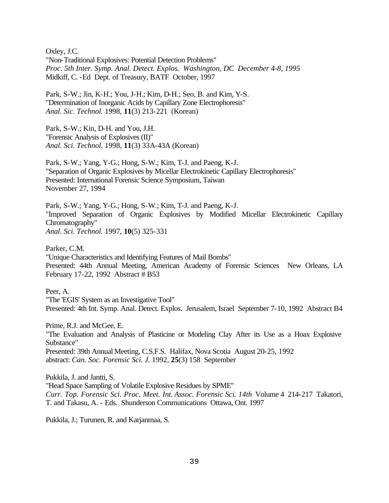Oxley, J.C. "Non-Traditional Explosives: Potential Detection Problems" *Proc. 5th Inter. Symp. Anal. Detect. Explos. Washington, DC December 4-8, 1995*  Midkiff, C. -Ed Dept. of Treasury, BATF October, 1997

Park, S-W.; Jin, K-H.; You, J-H.; Kim, D-H.; Seo, B. and Kim, Y-S. "Determination of Inorganic Acids by Capillary Zone Electrophoresis" *Anal. Sic. Technol.* 1998, **11**(3) 213-221 (Korean)

Park, S-W.; Kin, D-H. and You, J.H. "Forensic Analysis of Explosives (II)" *Anal. Sci. Technol.* 1998, **11**(3) 33A-43A (Korean)

Park, S-W.; Yang, Y-G.; Hong, S-W.; Kim, T-J. and Paeng, K-J. "Separation of Organic Explosives by Micellar Electrokinetic Capillary Electrophoresis" Presented: International Forensic Science Symposium, Taiwan November 27, 1994

Park, S-W.; Yang, Y-G.; Hong, S-W.; Kim, T-J. and Paeng, K-J. "Improved Separation of Organic Explosives by Modified Micellar Electrokinetic Capillary Chromatography" *Anal. Sci. Technol.* 1997, **10**(5) 325-331

Parker, C.M.

"Unique Characteristics and Identifying Features of Mail Bombs" Presented: 44th Annual Meeting, American Academy of Forensic Sciences New Orleans, LA February 17-22, 1992 Abstract # B53

Peer, A.

"The 'EGIS' System as an Investigative Tool" Presented: 4th Int. Symp. Anal. Detect. Explos. Jerusalem, Israel September 7-10, 1992 Abstract B4

Prime, R.J. and McGee, E.

"The Evaluation and Analysis of Plasticine or Modeling Clay After its Use as a Hoax Explosive Substance"

Presented: 39th Annual Meeting, C.S.F.S. Halifax, Nova Scotia August 20-25, 1992 abstract: *Can. Soc. Forensic Sci. J.* 1992, **25**(3) 158 September

Pukkila, J. and Jantti, S. "Head Space Sampling of Volatile Explosive Residues by SPME" *Curr. Top. Forensic Sci. Proc. Meet. Int. Assoc. Forensic Sci. 14th* Volume 4 214-217 Takatori, T. and Takasu, A. - Eds. Shunderson Communications Ottawa, Ont. 1997

Pukkila, J.; Turunen, R. and Karjanmaa, S.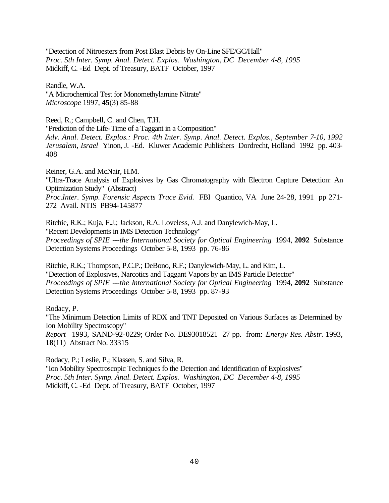"Detection of Nitroesters from Post Blast Debris by On-Line SFE/GC/Hall" *Proc. 5th Inter. Symp. Anal. Detect. Explos. Washington, DC December 4-8, 1995*  Midkiff, C. -Ed Dept. of Treasury, BATF October, 1997

Randle, W.A. "A Microchemical Test for Monomethylamine Nitrate" *Microscope* 1997, **45**(3) 85-88

Reed, R.; Campbell, C. and Chen, T.H. "Prediction of the Life-Time of a Taggant in a Composition" *Adv. Anal. Detect. Explos.: Proc. 4th Inter. Symp. Anal. Detect. Explos., September 7-10, 1992 Jerusalem, Israel* Yinon, J. -Ed. Kluwer Academic Publishers Dordrecht, Holland 1992 pp. 403- 408

Reiner, G.A. and McNair, H.M. "Ultra-Trace Analysis of Explosives by Gas Chromatography with Electron Capture Detection: An Optimization Study" (Abstract) *Proc.Inter. Symp. Forensic Aspects Trace Evid.* FBI Quantico, VA June 24-28, 1991 pp 271- 272 Avail. NTIS PB94-145877

Ritchie, R.K.; Kuja, F.J.; Jackson, R.A. Loveless, A.J. and Danylewich-May, L. "Recent Developments in IMS Detection Technology" *Proceedings of SPIE ---the International Society for Optical Engineering* 1994, **2092** Substance Detection Systems Proceedings October 5-8, 1993 pp. 76-86

Ritchie, R.K.; Thompson, P.C.P.; DeBono, R.F.; Danylewich-May, L. and Kim, L. "Detection of Explosives, Narcotics and Taggant Vapors by an IMS Particle Detector" *Proceedings of SPIE ---the International Society for Optical Engineering* 1994, **2092** Substance Detection Systems Proceedings October 5-8, 1993 pp. 87-93

Rodacy, P. "The Minimum Detection Limits of RDX and TNT Deposited on Various Surfaces as Determined by Ion Mobility Spectroscopy" *Report* 1993, SAND-92-0229; Order No. DE93018521 27 pp. from: *Energy Res. Abstr.* 1993, **18**(11) Abstract No. 33315

Rodacy, P.; Leslie, P.; Klassen, S. and Silva, R. "Ion Mobility Spectroscopic Techniques fo the Detection and Identification of Explosives" *Proc. 5th Inter. Symp. Anal. Detect. Explos. Washington, DC December 4-8, 1995*  Midkiff, C. -Ed Dept. of Treasury, BATF October, 1997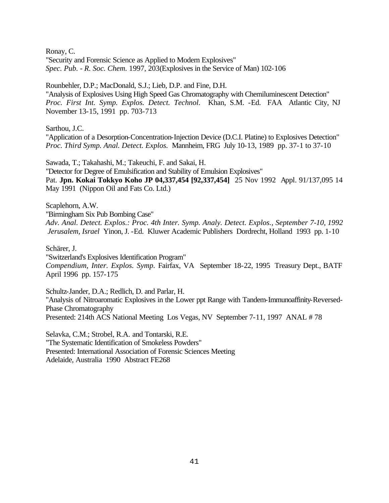Ronay, C.

"Security and Forensic Science as Applied to Modern Explosives" *Spec. Pub. - R. Soc. Chem.* 1997, 203(Explosives in the Service of Man) 102-106

Rounbehler, D.P.; MacDonald, S.J.; Lieb, D.P. and Fine, D.H.

"Analysis of Explosives Using High Speed Gas Chromatography with Chemiluminescent Detection" *Proc. First Int. Symp. Explos. Detect. Technol.* Khan, S.M. -Ed. FAA Atlantic City, NJ November 13-15, 1991 pp. 703-713

Sarthou, J.C.

"Application of a Desorption-Concentration-Injection Device (D.C.I. Platine) to Explosives Detection" *Proc. Third Symp. Anal. Detect. Explos.* Mannheim, FRG July 10-13, 1989 pp. 37-1 to 37-10

Sawada, T.; Takahashi, M.; Takeuchi, F. and Sakai, H.

"Detector for Degree of Emulsification and Stability of Emulsion Explosives"

Pat. **Jpn. Kokai Tokkyo Koho JP 04,337,454 [92,337,454]** 25 Nov 1992 Appl. 91/137,095 14 May 1991 (Nippon Oil and Fats Co. Ltd.)

Scaplehorn, A.W.

"Birmingham Six Pub Bombing Case"

*Adv. Anal. Detect. Explos.: Proc. 4th Inter. Symp. Analy. Detect. Explos., September 7-10, 1992 Jerusalem, Israel* Yinon, J. -Ed. Kluwer Academic Publishers Dordrecht, Holland 1993 pp. 1-10

Schärer, J.

"Switzerland's Explosives Identification Program" *Compendium, Inter. Explos. Symp.* Fairfax, VA September 18-22, 1995 Treasury Dept., BATF April 1996 pp. 157-175

Schultz-Jander, D.A.; Redlich, D. and Parlar, H. "Analysis of Nitroaromatic Explosives in the Lower ppt Range with Tandem-Immunoaffinity-Reversed-Phase Chromatography Presented: 214th ACS National Meeting Los Vegas, NV September 7-11, 1997 ANAL # 78

Selavka, C.M.; Strobel, R.A. and Tontarski, R.E. "The Systematic Identification of Smokeless Powders" Presented: International Association of Forensic Sciences Meeting Adelaide, Australia 1990 Abstract FE268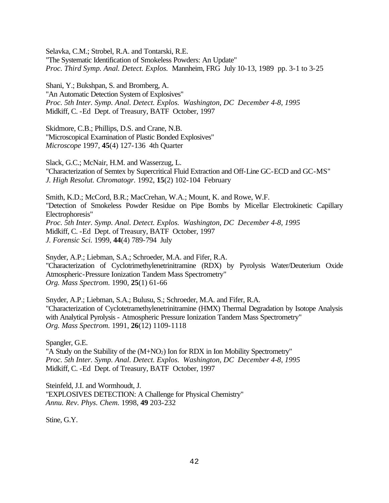Selavka, C.M.; Strobel, R.A. and Tontarski, R.E. "The Systematic Identification of Smokeless Powders: An Update" *Proc. Third Symp. Anal. Detect. Explos.* Mannheim, FRG July 10-13, 1989 pp. 3-1 to 3-25

Shani, Y.; Bukshpan, S. and Bromberg, A. "An Automatic Detection System of Explosives" *Proc. 5th Inter. Symp. Anal. Detect. Explos. Washington, DC December 4-8, 1995*  Midkiff, C. -Ed Dept. of Treasury, BATF October, 1997

Skidmore, C.B.; Phillips, D.S. and Crane, N.B. "Microscopical Examination of Plastic Bonded Explosives" *Microscope* 1997, **45**(4) 127-136 4th Quarter

Slack, G.C.; McNair, H.M. and Wasserzug, L. "Characterization of Semtex by Supercritical Fluid Extraction and Off-Line GC-ECD and GC-MS" *J. High Resolut. Chromatogr.* 1992, **15**(2) 102-104 February

Smith, K.D.; McCord, B.R.; MacCrehan, W.A.; Mount, K. and Rowe, W.F. "Detection of Smokeless Powder Residue on Pipe Bombs by Micellar Electrokinetic Capillary Electrophoresis" *Proc. 5th Inter. Symp. Anal. Detect. Explos. Washington, DC December 4-8, 1995*  Midkiff, C. -Ed Dept. of Treasury, BATF October, 1997 *J. Forensic Sci.* 1999, **44**(4) 789-794 July

Snyder, A.P.; Liebman, S.A.; Schroeder, M.A. and Fifer, R.A. "Characterization of Cyclotrimethylenetrinitramine (RDX) by Pyrolysis Water/Deuterium Oxide Atmospheric-Pressure Ionization Tandem Mass Spectrometry" *Org. Mass Spectrom.* 1990, **25**(1) 61-66

Snyder, A.P.; Liebman, S.A.; Bulusu, S.; Schroeder, M.A. and Fifer, R.A. "Characterization of Cyclotetramethylenetrinitramine (HMX) Thermal Degradation by Isotope Analysis with Analytical Pyrolysis - Atmospheric Pressure Ionization Tandem Mass Spectrometry" *Org. Mass Spectrom.* 1991, **26**(12) 1109-1118

Spangler, G.E.

"A Study on the Stability of the (M+NO2) Ion for RDX in Ion Mobility Spectrometry" *Proc. 5th Inter. Symp. Anal. Detect. Explos. Washington, DC December 4-8, 1995*  Midkiff, C. -Ed Dept. of Treasury, BATF October, 1997

Steinfeld, J.I. and Wormhoudt, J. "EXPLOSIVES DETECTION: A Challenge for Physical Chemistry" *Annu. Rev. Phys. Chem.* 1998, **49** 203-232

Stine, G.Y.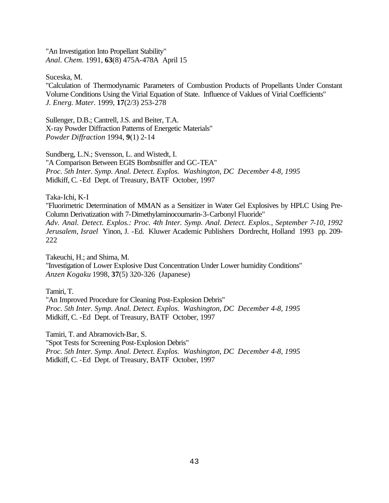"An Investigation Into Propellant Stability" *Anal. Chem.* 1991, **63**(8) 475A-478A April 15

Suceska, M.

"Calculation of Thermodynamic Parameters of Combustion Products of Propellants Under Constant Volume Conditions Using the Virial Equation of State. Influence of Vaklues of Virial Coefficients" *J. Energ. Mater.* 1999, **17**(2/3) 253-278

Sullenger, D.B.; Cantrell, J.S. and Beiter, T.A. X-ray Powder Diffraction Patterns of Energetic Materials" *Powder Diffraction* 1994, **9**(1) 2-14

Sundberg, L.N.; Svensson, L. and Wistedt, I. "A Comparison Between EGIS Bombsniffer and GC-TEA" *Proc. 5th Inter. Symp. Anal. Detect. Explos. Washington, DC December 4-8, 1995*  Midkiff, C. -Ed Dept. of Treasury, BATF October, 1997

Taka-Ichi, K-I

"Fluorimetric Determination of MMAN as a Sensitizer in Water Gel Explosives by HPLC Using Pre-Column Derivatization with 7-Dimethylaminocoumarin-3-Carbonyl Fluoride" *Adv. Anal. Detect. Explos.: Proc. 4th Inter. Symp. Anal. Detect. Explos., September 7-10, 1992 Jerusalem, Israel* Yinon, J. -Ed. Kluwer Academic Publishers Dordrecht, Holland 1993 pp. 209- 222

Takeuchi, H.; and Shima, M. "Investigation of Lower Explosive Dust Concentration Under Lower humidity Conditions" *Anzen Kogaku* 1998, **37**(5) 320-326 (Japanese)

Tamiri, T.

"An Improved Procedure for Cleaning Post-Explosion Debris" *Proc. 5th Inter. Symp. Anal. Detect. Explos. Washington, DC December 4-8, 1995*  Midkiff, C. -Ed Dept. of Treasury, BATF October, 1997

Tamiri, T. and Abramovich-Bar, S. "Spot Tests for Screening Post-Explosion Debris" *Proc. 5th Inter. Symp. Anal. Detect. Explos. Washington, DC December 4-8, 1995*  Midkiff, C. -Ed Dept. of Treasury, BATF October, 1997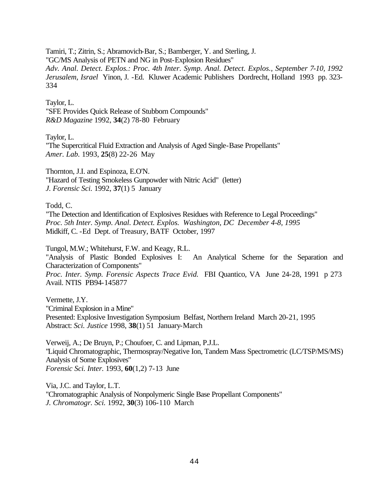Tamiri, T.; Zitrin, S.; Abramovich-Bar, S.; Bamberger, Y. and Sterling, J. "GC/MS Analysis of PETN and NG in Post-Explosion Residues" *Adv. Anal. Detect. Explos.: Proc. 4th Inter. Symp. Anal. Detect. Explos., September 7-10, 1992 Jerusalem, Israel* Yinon, J. -Ed. Kluwer Academic Publishers Dordrecht, Holland 1993 pp. 323- 334

Taylor, L. "SFE Provides Quick Release of Stubborn Compounds" *R&D Magazine* 1992, **34**(2) 78-80 February

Taylor, L.

"The Supercritical Fluid Extraction and Analysis of Aged Single-Base Propellants" *Amer. Lab.* 1993, **25**(8) 22-26 May

Thornton, J.I. and Espinoza, E.O'N. "Hazard of Testing Smokeless Gunpowder with Nitric Acid" (letter) *J. Forensic Sci.* 1992, **37**(1) 5 January

Todd, C.

"The Detection and Identification of Explosives Residues with Reference to Legal Proceedings" *Proc. 5th Inter. Symp. Anal. Detect. Explos. Washington, DC December 4-8, 1995*  Midkiff, C. -Ed Dept. of Treasury, BATF October, 1997

Tungol, M.W.; Whitehurst, F.W. and Keagy, R.L.

"Analysis of Plastic Bonded Explosives I: An Analytical Scheme for the Separation and Characterization of Components"

*Proc. Inter. Symp. Forensic Aspects Trace Evid.* FBI Quantico, VA June 24-28, 1991 p 273 Avail. NTIS PB94-145877

Vermette, J.Y. "Criminal Explosion in a Mine" Presented: Explosive Investigation Symposium Belfast, Northern Ireland March 20-21, 1995 Abstract: *Sci. Justice* 1998, **38**(1) 51 January-March

Verweij, A.; De Bruyn, P.; Choufoer, C. and Lipman, P.J.L. "Liquid Chromatographic, Thermospray/Negative Ion, Tandem Mass Spectrometric (LC/TSP/MS/MS) Analysis of Some Explosives" *Forensic Sci. Inter.* 1993, **60**(1,2) 7-13 June

Via, J.C. and Taylor, L.T. "Chromatographic Analysis of Nonpolymeric Single Base Propellant Components" *J. Chromatogr. Sci.* 1992, **30**(3) 106-110 March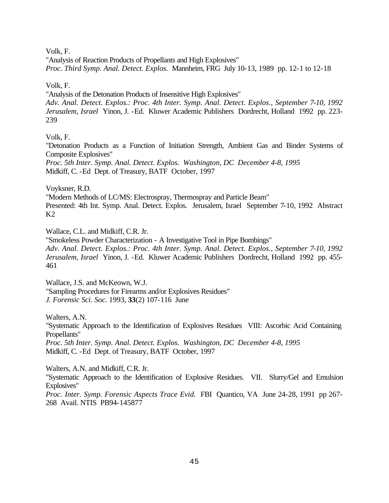Volk, F.

"Analysis of Reaction Products of Propellants and High Explosives" *Proc. Third Symp. Anal. Detect. Explos.* Mannheim, FRG July 10-13, 1989 pp. 12-1 to 12-18

Volk, F.

"Analysis of the Detonation Products of Insensitive High Explosives"

*Adv. Anal. Detect. Explos.: Proc. 4th Inter. Symp. Anal. Detect. Explos., September 7-10, 1992 Jerusalem, Israel* Yinon, J. -Ed. Kluwer Academic Publishers Dordrecht, Holland 1992 pp. 223- 239

Volk, F.

"Detonation Products as a Function of Initiation Strength, Ambient Gas and Binder Systems of Composite Explosives"

*Proc. 5th Inter. Symp. Anal. Detect. Explos. Washington, DC December 4-8, 1995*  Midkiff, C. -Ed Dept. of Treasury, BATF October, 1997

Voyksner, R.D.

"Modern Methods of LC/MS: Electrospray, Thermospray and Particle Beam" Presented: 4th Int. Symp. Anal. Detect. Explos. Jerusalem, Israel September 7-10, 1992 Abstract  $K2$ 

Wallace, C.L. and Midkiff, C.R. Jr.

"Smokeless Powder Characterization - A Investigative Tool in Pipe Bombings" *Adv. Anal. Detect. Explos.: Proc. 4th Inter. Symp. Anal. Detect. Explos., September 7-10, 1992 Jerusalem, Israel* Yinon, J. -Ed. Kluwer Academic Publishers Dordrecht, Holland 1992 pp. 455- 461

Wallace, J.S. and McKeown, W.J. "Sampling Procedures for Firearms and/or Explosives Residues" *J. Forensic Sci. Soc.* 1993, **33**(2) 107-116 June

Walters, A.N.

"Systematic Approach to the Identification of Explosives Residues VIII: Ascorbic Acid Containing Propellants"

*Proc. 5th Inter. Symp. Anal. Detect. Explos. Washington, DC December 4-8, 1995*  Midkiff, C. -Ed Dept. of Treasury, BATF October, 1997

Walters, A.N. and Midkiff, C.R. Jr.

"Systematic Approach to the Identification of Explosive Residues. VII. Slurry/Gel and Emulsion Explosives"

*Proc. Inter. Symp. Forensic Aspects Trace Evid.* FBI Quantico, VA June 24-28, 1991 pp 267- 268 Avail. NTIS PB94-145877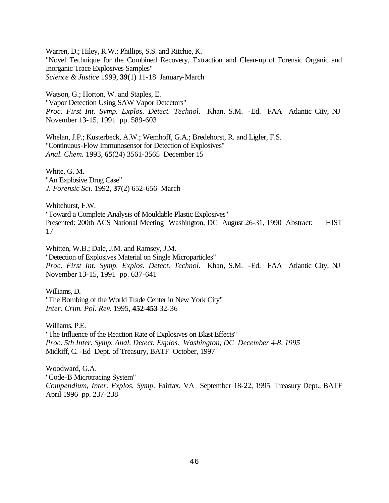Warren, D.; Hiley, R.W.; Phillips, S.S. and Ritchie, K. "Novel Technique for the Combined Recovery, Extraction and Clean-up of Forensic Organic and Inorganic Trace Explosives Samples" *Science & Justice* 1999, **39**(1) 11-18 January-March

Watson, G.; Horton, W. and Staples, E. "Vapor Detection Using SAW Vapor Detectors" *Proc. First Int. Symp. Explos. Detect. Technol.* Khan, S.M. -Ed. FAA Atlantic City, NJ November 13-15, 1991 pp. 589-603

Whelan, J.P.; Kusterbeck, A.W.; Wemhoff, G.A.; Bredehorst, R. and Ligler, F.S. "Continuous-Flow Immunosensor for Detection of Explosives" *Anal. Chem.* 1993, **65**(24) 3561-3565 December 15

White, G. M. "An Explosive Drug Case" *J. Forensic Sci.* 1992, **37**(2) 652-656 March

Whitehurst, F.W. "Toward a Complete Analysis of Mouldable Plastic Explosives" Presented: 200th ACS National Meeting Washington, DC August 26-31, 1990 Abstract: HIST 17

Whitten, W.B.; Dale, J.M. and Ramsey, J.M. "Detection of Explosives Material on Single Microparticles" *Proc. First Int. Symp. Explos. Detect. Technol.* Khan, S.M. -Ed. FAA Atlantic City, NJ November 13-15, 1991 pp. 637-641

Williams, D. "The Bombing of the World Trade Center in New York City" *Inter. Crim. Pol. Rev.* 1995, **452-453** 32-36

Williams, P.E. "The Influence of the Reaction Rate of Explosives on Blast Effects" *Proc. 5th Inter. Symp. Anal. Detect. Explos. Washington, DC December 4-8, 1995*  Midkiff, C. -Ed Dept. of Treasury, BATF October, 1997

Woodward, G.A. "Code-B Microtracing System" *Compendium, Inter. Explos. Symp.* Fairfax, VA September 18-22, 1995 Treasury Dept., BATF April 1996 pp. 237-238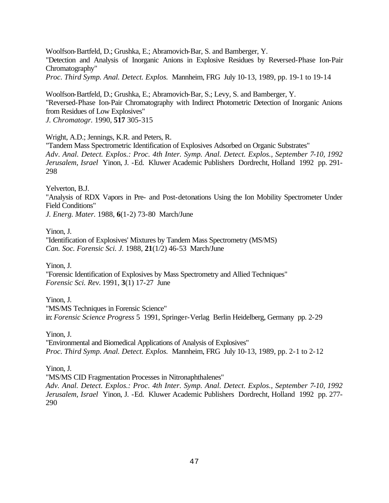Woolfson-Bartfeld, D.; Grushka, E.; Abramovich-Bar, S. and Bamberger, Y. "Detection and Analysis of Inorganic Anions in Explosive Residues by Reversed-Phase Ion-Pair Chromatography" *Proc. Third Symp. Anal. Detect. Explos.* Mannheim, FRG July 10-13, 1989, pp. 19-1 to 19-14

Woolfson-Bartfeld, D.; Grushka, E.; Abramovich-Bar, S.; Levy, S. and Bamberger, Y. "Reversed-Phase Ion-Pair Chromatography with Indirect Photometric Detection of Inorganic Anions from Residues of Low Explosives" *J. Chromatogr.* 1990, **517** 305-315

### Wright, A.D.; Jennings, K.R. and Peters, R.

"Tandem Mass Spectrometric Identification of Explosives Adsorbed on Organic Substrates" *Adv. Anal. Detect. Explos.: Proc. 4th Inter. Symp. Anal. Detect. Explos., September 7-10, 1992 Jerusalem, Israel* Yinon, J. -Ed. Kluwer Academic Publishers Dordrecht, Holland 1992 pp. 291- 298

Yelverton, B.J.

"Analysis of RDX Vapors in Pre- and Post-detonations Using the Ion Mobility Spectrometer Under Field Conditions"

*J. Energ. Mater.* 1988, **6**(1-2) 73-80 March/June

Yinon, J.

"Identification of Explosives' Mixtures by Tandem Mass Spectrometry (MS/MS) *Can. Soc. Forensic Sci. J.* 1988, **21**(1/2) 46-53 March/June

Yinon, J. "Forensic Identification of Explosives by Mass Spectrometry and Allied Techniques" *Forensic Sci. Rev.* 1991, **3**(1) 17-27 June

Yinon, J.

"MS/MS Techniques in Forensic Science" in: *Forensic Science Progress* 5 1991, Springer-Verlag Berlin Heidelberg, Germany pp. 2-29

Yinon, J.

"Environmental and Biomedical Applications of Analysis of Explosives" *Proc. Third Symp. Anal. Detect. Explos.* Mannheim, FRG July 10-13, 1989, pp. 2-1 to 2-12

Yinon, J.

"MS/MS CID Fragmentation Processes in Nitronaphthalenes" *Adv. Anal. Detect. Explos.: Proc. 4th Inter. Symp. Anal. Detect. Explos., September 7-10, 1992 Jerusalem, Israel* Yinon, J. -Ed. Kluwer Academic Publishers Dordrecht, Holland 1992 pp. 277- 290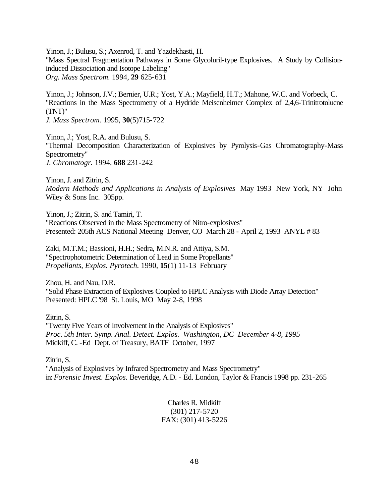Yinon, J.; Bulusu, S.; Axenrod, T. and Yazdekhasti, H. "Mass Spectral Fragmentation Pathways in Some Glycoluril-type Explosives. A Study by Collisioninduced Dissociation and Isotope Labeling" *Org. Mass Spectrom.* 1994, **29** 625-631

Yinon, J.; Johnson, J.V.; Bernier, U.R.; Yost, Y.A.; Mayfield, H.T.; Mahone, W.C. and Vorbeck, C. "Reactions in the Mass Spectrometry of a Hydride Meisenheimer Complex of 2,4,6-Trinitrotoluene (TNT)"

*J. Mass Spectrom.* 1995, **30**(5)715-722

Yinon, J.; Yost, R.A. and Bulusu, S. "Thermal Decomposition Characterization of Explosives by Pyrolysis-Gas Chromatography-Mass Spectrometry" *J. Chromatogr.* 1994, **688** 231-242

Yinon, J. and Zitrin, S. *Modern Methods and Applications in Analysis of Explosives* May 1993 New York, NY John Wiley & Sons Inc. 305pp.

Yinon, J.; Zitrin, S. and Tamiri, T. "Reactions Observed in the Mass Spectrometry of Nitro-explosives" Presented: 205th ACS National Meeting Denver, CO March 28 - April 2, 1993 ANYL # 83

Zaki, M.T.M.; Bassioni, H.H.; Sedra, M.N.R. and Attiya, S.M. "Spectrophotometric Determination of Lead in Some Propellants" *Propellants, Explos. Pyrotech.* 1990, **15**(1) 11-13 February

Zhou, H. and Nau, D.R. "Solid Phase Extraction of Explosives Coupled to HPLC Analysis with Diode Array Detection" Presented: HPLC '98 St. Louis, MO May 2-8, 1998

Zitrin, S. "Twenty Five Years of Involvement in the Analysis of Explosives" *Proc. 5th Inter. Symp. Anal. Detect. Explos. Washington, DC December 4-8, 1995*  Midkiff, C. -Ed Dept. of Treasury, BATF October, 1997

Zitrin, S. "Analysis of Explosives by Infrared Spectrometry and Mass Spectrometry" in: *Forensic Invest. Explos.* Beveridge, A.D. - Ed. London, Taylor & Francis 1998 pp. 231-265

> Charles R. Midkiff (301) 217-5720 FAX: (301) 413-5226